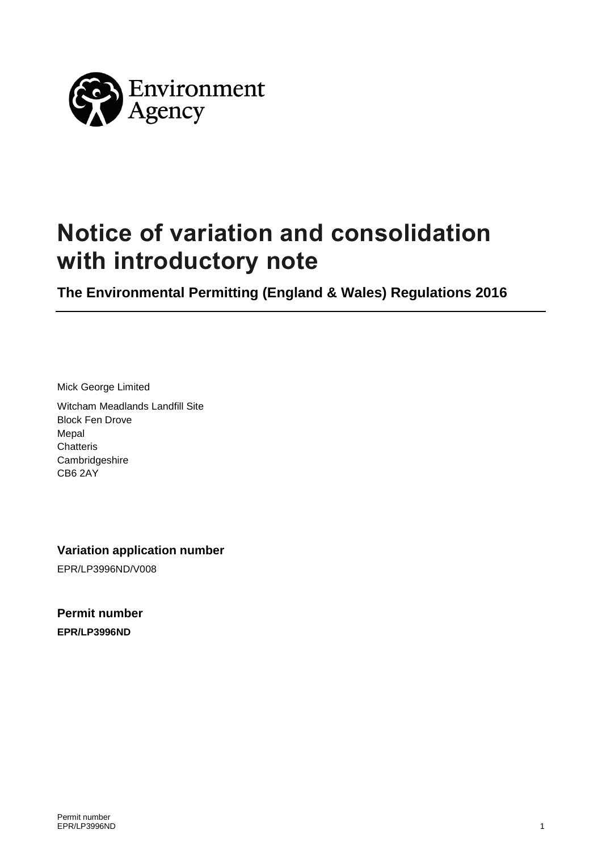

# **Notice of variation and consolidation with introductory note**

**The Environmental Permitting (England & Wales) Regulations 2016** 

Mick George Limited

Witcham Meadlands Landfill Site Block Fen Drove Mepal **Chatteris Cambridgeshire** CB6 2AY

**Variation application number** 

EPR/LP3996ND/V008

**Permit number EPR/LP3996ND**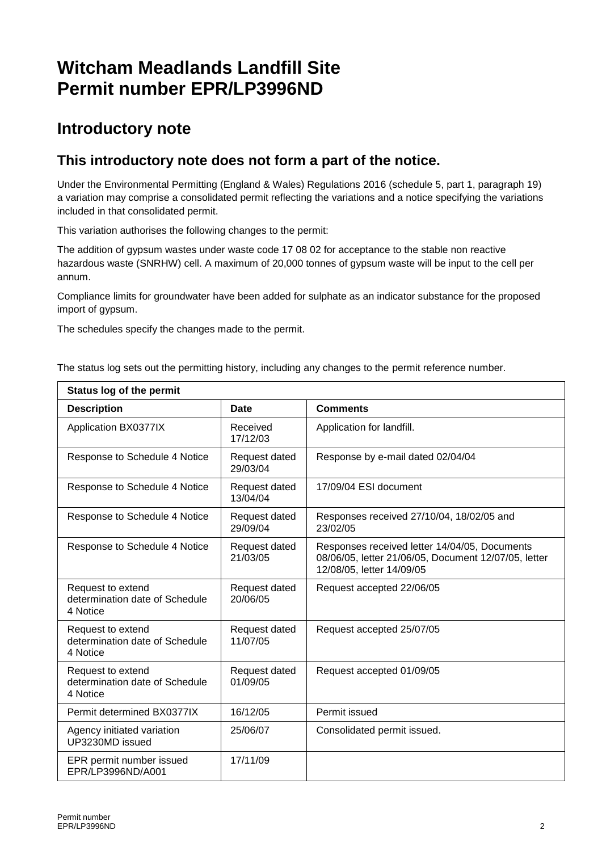# **Witcham Meadlands Landfill Site Permit number EPR/LP3996ND**

### **Introductory note**

### **This introductory note does not form a part of the notice.**

Under the Environmental Permitting (England & Wales) Regulations 2016 (schedule 5, part 1, paragraph 19) a variation may comprise a consolidated permit reflecting the variations and a notice specifying the variations included in that consolidated permit.

This variation authorises the following changes to the permit:

The addition of gypsum wastes under waste code 17 08 02 for acceptance to the stable non reactive hazardous waste (SNRHW) cell. A maximum of 20,000 tonnes of gypsum waste will be input to the cell per annum.

Compliance limits for groundwater have been added for sulphate as an indicator substance for the proposed import of gypsum.

The schedules specify the changes made to the permit.

The status log sets out the permitting history, including any changes to the permit reference number.

| <b>Status log of the permit</b>                                 |                           |                                                                                                                                    |
|-----------------------------------------------------------------|---------------------------|------------------------------------------------------------------------------------------------------------------------------------|
| <b>Description</b>                                              | Date                      | <b>Comments</b>                                                                                                                    |
| Application BX0377IX                                            | Received<br>17/12/03      | Application for landfill.                                                                                                          |
| Response to Schedule 4 Notice                                   | Request dated<br>29/03/04 | Response by e-mail dated 02/04/04                                                                                                  |
| Response to Schedule 4 Notice                                   | Request dated<br>13/04/04 | 17/09/04 ESI document                                                                                                              |
| Response to Schedule 4 Notice                                   | Request dated<br>29/09/04 | Responses received 27/10/04, 18/02/05 and<br>23/02/05                                                                              |
| Response to Schedule 4 Notice                                   | Request dated<br>21/03/05 | Responses received letter 14/04/05, Documents<br>08/06/05, letter 21/06/05, Document 12/07/05, letter<br>12/08/05, letter 14/09/05 |
| Request to extend<br>determination date of Schedule<br>4 Notice | Request dated<br>20/06/05 | Request accepted 22/06/05                                                                                                          |
| Request to extend<br>determination date of Schedule<br>4 Notice | Request dated<br>11/07/05 | Request accepted 25/07/05                                                                                                          |
| Request to extend<br>determination date of Schedule<br>4 Notice | Request dated<br>01/09/05 | Request accepted 01/09/05                                                                                                          |
| Permit determined BX0377IX                                      | 16/12/05                  | Permit issued                                                                                                                      |
| Agency initiated variation<br>UP3230MD issued                   | 25/06/07                  | Consolidated permit issued.                                                                                                        |
| EPR permit number issued<br>EPR/LP3996ND/A001                   | 17/11/09                  |                                                                                                                                    |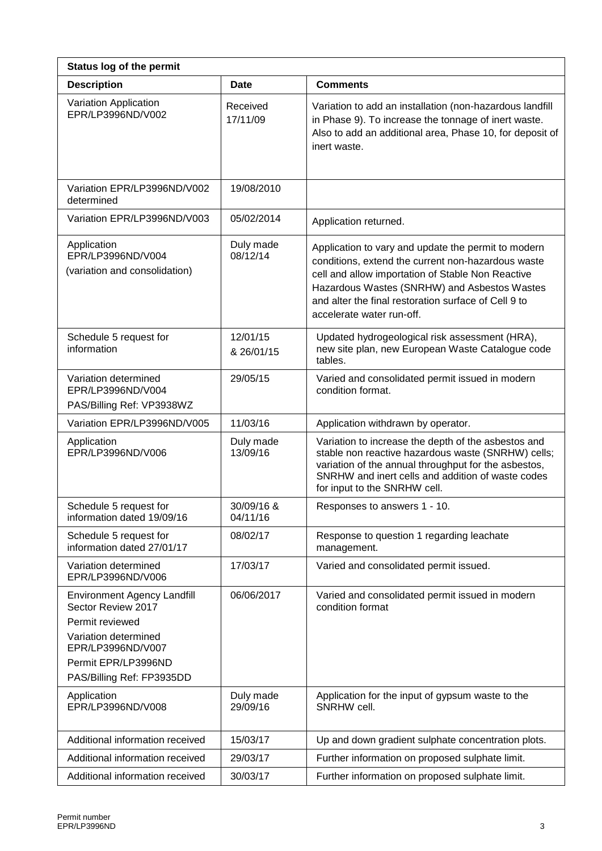| <b>Status log of the permit</b>                                                                                                                                              |                        |                                                                                                                                                                                                                                                                                                     |
|------------------------------------------------------------------------------------------------------------------------------------------------------------------------------|------------------------|-----------------------------------------------------------------------------------------------------------------------------------------------------------------------------------------------------------------------------------------------------------------------------------------------------|
| <b>Description</b>                                                                                                                                                           | Date                   | <b>Comments</b>                                                                                                                                                                                                                                                                                     |
| Variation Application<br>EPR/LP3996ND/V002                                                                                                                                   | Received<br>17/11/09   | Variation to add an installation (non-hazardous landfill<br>in Phase 9). To increase the tonnage of inert waste.<br>Also to add an additional area, Phase 10, for deposit of<br>inert waste.                                                                                                        |
| Variation EPR/LP3996ND/V002<br>determined                                                                                                                                    | 19/08/2010             |                                                                                                                                                                                                                                                                                                     |
| Variation EPR/LP3996ND/V003                                                                                                                                                  | 05/02/2014             | Application returned.                                                                                                                                                                                                                                                                               |
| Application<br>EPR/LP3996ND/V004<br>(variation and consolidation)                                                                                                            | Duly made<br>08/12/14  | Application to vary and update the permit to modern<br>conditions, extend the current non-hazardous waste<br>cell and allow importation of Stable Non Reactive<br>Hazardous Wastes (SNRHW) and Asbestos Wastes<br>and alter the final restoration surface of Cell 9 to<br>accelerate water run-off. |
| Schedule 5 request for<br>information                                                                                                                                        | 12/01/15<br>& 26/01/15 | Updated hydrogeological risk assessment (HRA),<br>new site plan, new European Waste Catalogue code<br>tables.                                                                                                                                                                                       |
| Variation determined<br>EPR/LP3996ND/V004<br>PAS/Billing Ref: VP3938WZ                                                                                                       | 29/05/15               | Varied and consolidated permit issued in modern<br>condition format.                                                                                                                                                                                                                                |
| Variation EPR/LP3996ND/V005                                                                                                                                                  | 11/03/16               | Application withdrawn by operator.                                                                                                                                                                                                                                                                  |
| Application<br>EPR/LP3996ND/V006                                                                                                                                             | Duly made<br>13/09/16  | Variation to increase the depth of the asbestos and<br>stable non reactive hazardous waste (SNRHW) cells;<br>variation of the annual throughput for the asbestos,<br>SNRHW and inert cells and addition of waste codes<br>for input to the SNRHW cell.                                              |
| Schedule 5 request for<br>information dated 19/09/16                                                                                                                         | 30/09/16 &<br>04/11/16 | Responses to answers 1 - 10.                                                                                                                                                                                                                                                                        |
| Schedule 5 request for<br>information dated 27/01/17                                                                                                                         | 08/02/17               | Response to question 1 regarding leachate<br>management.                                                                                                                                                                                                                                            |
| Variation determined<br>EPR/LP3996ND/V006                                                                                                                                    | 17/03/17               | Varied and consolidated permit issued.                                                                                                                                                                                                                                                              |
| <b>Environment Agency Landfill</b><br>Sector Review 2017<br>Permit reviewed<br>Variation determined<br>EPR/LP3996ND/V007<br>Permit EPR/LP3996ND<br>PAS/Billing Ref: FP3935DD | 06/06/2017             | Varied and consolidated permit issued in modern<br>condition format                                                                                                                                                                                                                                 |
| Application<br>EPR/LP3996ND/V008                                                                                                                                             | Duly made<br>29/09/16  | Application for the input of gypsum waste to the<br>SNRHW cell.                                                                                                                                                                                                                                     |
| Additional information received                                                                                                                                              | 15/03/17               | Up and down gradient sulphate concentration plots.                                                                                                                                                                                                                                                  |
| Additional information received                                                                                                                                              | 29/03/17               | Further information on proposed sulphate limit.                                                                                                                                                                                                                                                     |
| Additional information received                                                                                                                                              | 30/03/17               | Further information on proposed sulphate limit.                                                                                                                                                                                                                                                     |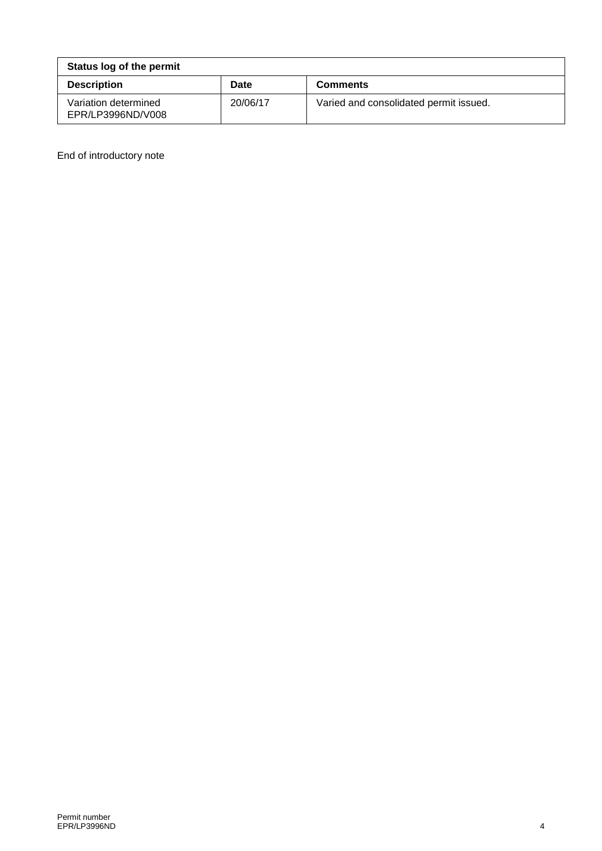| Status log of the permit                  |          |                                        |
|-------------------------------------------|----------|----------------------------------------|
| <b>Description</b>                        | Date     | <b>Comments</b>                        |
| Variation determined<br>EPR/LP3996ND/V008 | 20/06/17 | Varied and consolidated permit issued. |

End of introductory note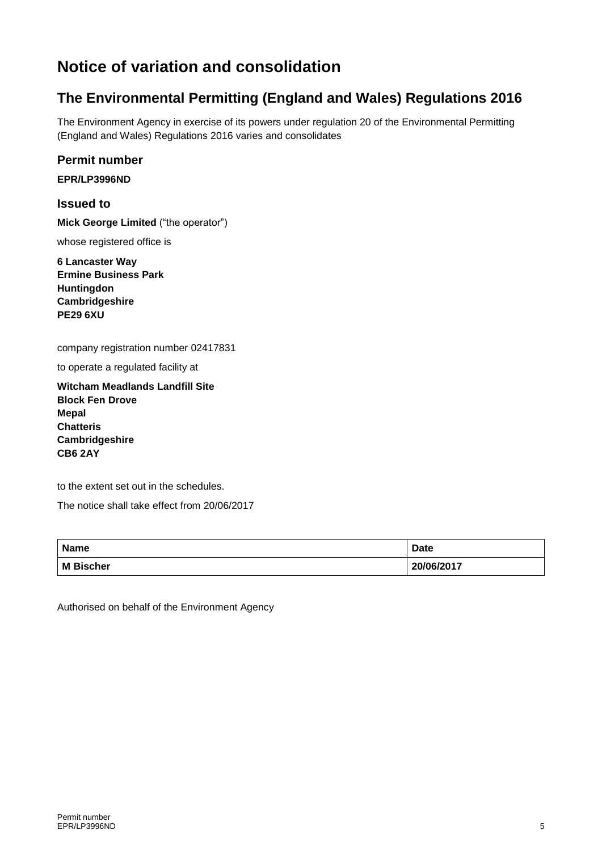# **Notice of variation and consolidation**

### **The Environmental Permitting (England and Wales) Regulations 2016**

The Environment Agency in exercise of its powers under regulation 20 of the Environmental Permitting (England and Wales) Regulations 2016 varies and consolidates

#### **Permit number**

**EPR/LP3996ND**

**Issued to**

**Mick George Limited** ("the operator")

whose registered office is

**6 Lancaster Way Ermine Business Park Huntingdon Cambridgeshire PE29 6XU**

company registration number 02417831

to operate a regulated facility at

**Witcham Meadlands Landfill Site Block Fen Drove Mepal Chatteris Cambridgeshire CB6 2AY**

to the extent set out in the schedules.

The notice shall take effect from 20/06/2017

| <b>Name</b> | <b>Date</b> |
|-------------|-------------|
| M Bischer   | 20/06/2017  |

Authorised on behalf of the Environment Agency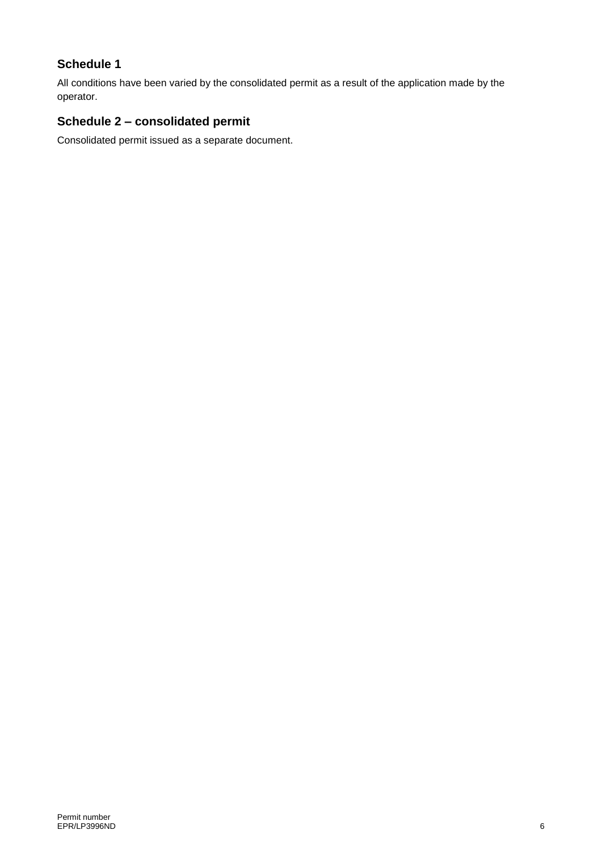#### **Schedule 1**

All conditions have been varied by the consolidated permit as a result of the application made by the operator.

### **Schedule 2 – consolidated permit**

Consolidated permit issued as a separate document.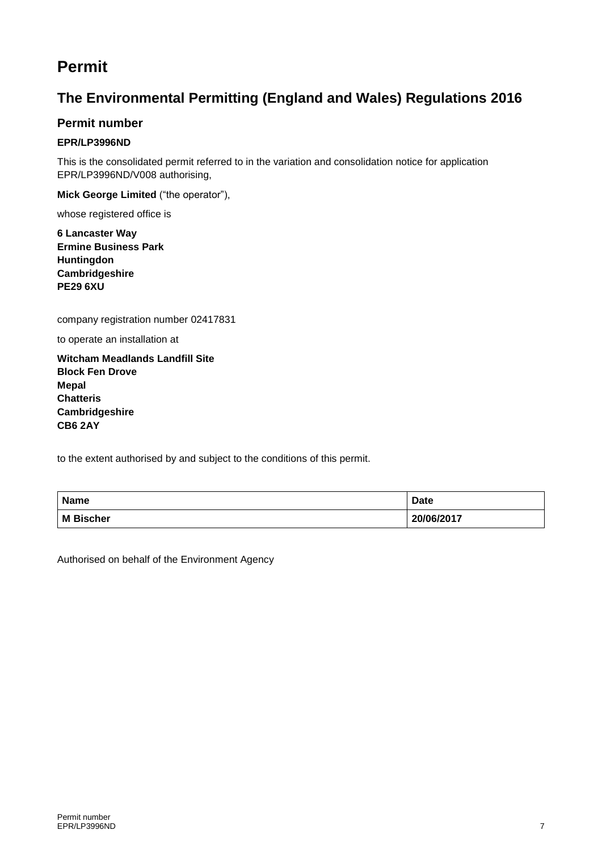## **Permit**

### **The Environmental Permitting (England and Wales) Regulations 2016**

#### **Permit number**

#### **EPR/LP3996ND**

This is the consolidated permit referred to in the variation and consolidation notice for application EPR/LP3996ND/V008 authorising,

**Mick George Limited** ("the operator"),

whose registered office is

**6 Lancaster Way Ermine Business Park Huntingdon Cambridgeshire PE29 6XU**

company registration number 02417831

to operate an installation at

**Witcham Meadlands Landfill Site Block Fen Drove Mepal Chatteris Cambridgeshire CB6 2AY**

to the extent authorised by and subject to the conditions of this permit.

| <b>Name</b>      | <b>Date</b> |
|------------------|-------------|
| <b>M</b> Bischer | 20/06/2017  |

Authorised on behalf of the Environment Agency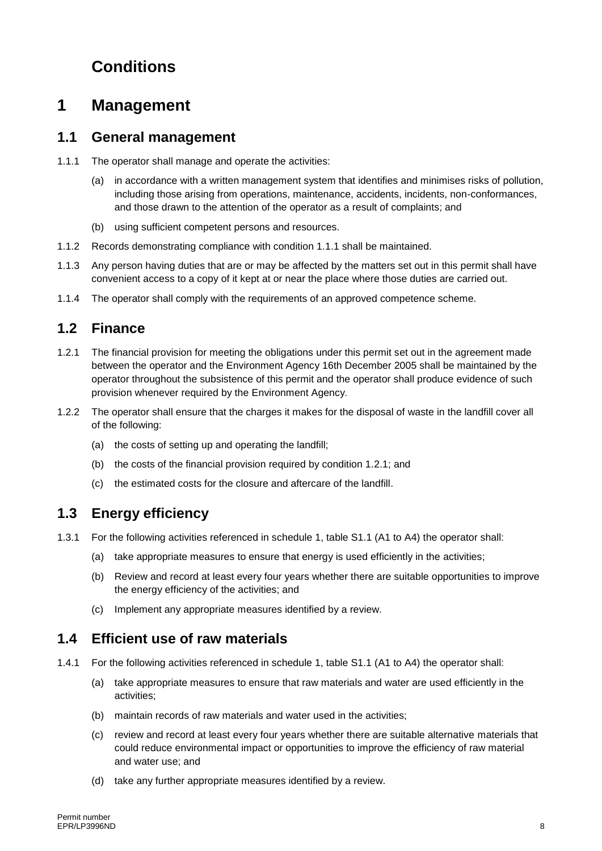# **Conditions**

### **1 Management**

#### **1.1 General management**

- 1.1.1 The operator shall manage and operate the activities:
	- (a) in accordance with a written management system that identifies and minimises risks of pollution, including those arising from operations, maintenance, accidents, incidents, non-conformances, and those drawn to the attention of the operator as a result of complaints; and
	- (b) using sufficient competent persons and resources.
- 1.1.2 Records demonstrating compliance with condition 1.1.1 shall be maintained.
- 1.1.3 Any person having duties that are or may be affected by the matters set out in this permit shall have convenient access to a copy of it kept at or near the place where those duties are carried out.
- 1.1.4 The operator shall comply with the requirements of an approved competence scheme.

#### **1.2 Finance**

- 1.2.1 The financial provision for meeting the obligations under this permit set out in the agreement made between the operator and the Environment Agency 16th December 2005 shall be maintained by the operator throughout the subsistence of this permit and the operator shall produce evidence of such provision whenever required by the Environment Agency.
- 1.2.2 The operator shall ensure that the charges it makes for the disposal of waste in the landfill cover all of the following:
	- (a) the costs of setting up and operating the landfill;
	- (b) the costs of the financial provision required by condition 1.2.1; and
	- (c) the estimated costs for the closure and aftercare of the landfill.

#### **1.3 Energy efficiency**

- 1.3.1 For the following activities referenced in schedule 1, table S1.1 (A1 to A4) the operator shall:
	- (a) take appropriate measures to ensure that energy is used efficiently in the activities;
	- (b) Review and record at least every four years whether there are suitable opportunities to improve the energy efficiency of the activities; and
	- (c) Implement any appropriate measures identified by a review.

#### **1.4 Efficient use of raw materials**

- 1.4.1 For the following activities referenced in schedule 1, table S1.1 (A1 to A4) the operator shall:
	- (a) take appropriate measures to ensure that raw materials and water are used efficiently in the activities;
	- (b) maintain records of raw materials and water used in the activities;
	- (c) review and record at least every four years whether there are suitable alternative materials that could reduce environmental impact or opportunities to improve the efficiency of raw material and water use; and
	- (d) take any further appropriate measures identified by a review.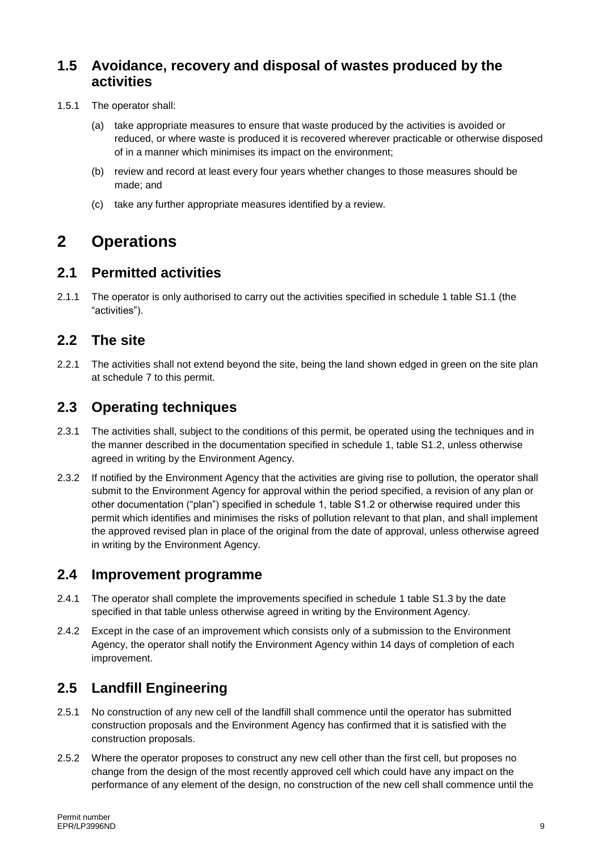#### **1.5 Avoidance, recovery and disposal of wastes produced by the activities**

- 1.5.1 The operator shall:
	- (a) take appropriate measures to ensure that waste produced by the activities is avoided or reduced, or where waste is produced it is recovered wherever practicable or otherwise disposed of in a manner which minimises its impact on the environment;
	- (b) review and record at least every four years whether changes to those measures should be made; and
	- (c) take any further appropriate measures identified by a review.

## **2 Operations**

#### **2.1 Permitted activities**

2.1.1 The operator is only authorised to carry out the activities specified in schedule 1 table S1.1 (the "activities").

#### **2.2 The site**

2.2.1 The activities shall not extend beyond the site, being the land shown edged in green on the site plan at schedule 7 to this permit.

### **2.3 Operating techniques**

- 2.3.1 The activities shall, subject to the conditions of this permit, be operated using the techniques and in the manner described in the documentation specified in schedule 1, table S1.2, unless otherwise agreed in writing by the Environment Agency.
- 2.3.2 If notified by the Environment Agency that the activities are giving rise to pollution, the operator shall submit to the Environment Agency for approval within the period specified, a revision of any plan or other documentation ("plan") specified in schedule 1, table S1.2 or otherwise required under this permit which identifies and minimises the risks of pollution relevant to that plan, and shall implement the approved revised plan in place of the original from the date of approval, unless otherwise agreed in writing by the Environment Agency.

#### **2.4 Improvement programme**

- 2.4.1 The operator shall complete the improvements specified in schedule 1 table S1.3 by the date specified in that table unless otherwise agreed in writing by the Environment Agency.
- 2.4.2 Except in the case of an improvement which consists only of a submission to the Environment Agency, the operator shall notify the Environment Agency within 14 days of completion of each improvement.

### **2.5 Landfill Engineering**

- 2.5.1 No construction of any new cell of the landfill shall commence until the operator has submitted construction proposals and the Environment Agency has confirmed that it is satisfied with the construction proposals.
- 2.5.2 Where the operator proposes to construct any new cell other than the first cell, but proposes no change from the design of the most recently approved cell which could have any impact on the performance of any element of the design, no construction of the new cell shall commence until the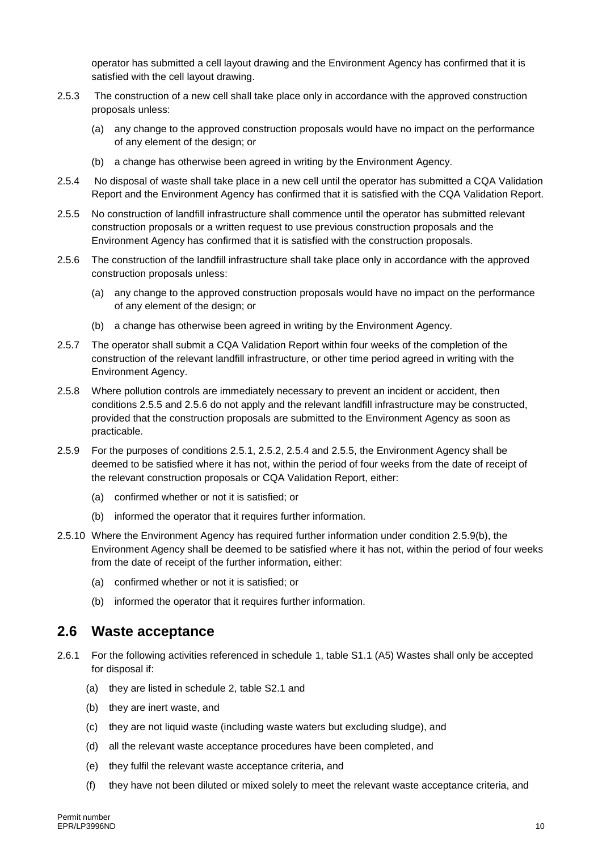operator has submitted a cell layout drawing and the Environment Agency has confirmed that it is satisfied with the cell layout drawing.

- 2.5.3 The construction of a new cell shall take place only in accordance with the approved construction proposals unless:
	- (a) any change to the approved construction proposals would have no impact on the performance of any element of the design; or
	- (b) a change has otherwise been agreed in writing by the Environment Agency.
- 2.5.4 No disposal of waste shall take place in a new cell until the operator has submitted a CQA Validation Report and the Environment Agency has confirmed that it is satisfied with the CQA Validation Report.
- 2.5.5 No construction of landfill infrastructure shall commence until the operator has submitted relevant construction proposals or a written request to use previous construction proposals and the Environment Agency has confirmed that it is satisfied with the construction proposals.
- 2.5.6 The construction of the landfill infrastructure shall take place only in accordance with the approved construction proposals unless:
	- (a) any change to the approved construction proposals would have no impact on the performance of any element of the design; or
	- (b) a change has otherwise been agreed in writing by the Environment Agency.
- 2.5.7 The operator shall submit a CQA Validation Report within four weeks of the completion of the construction of the relevant landfill infrastructure, or other time period agreed in writing with the Environment Agency.
- 2.5.8 Where pollution controls are immediately necessary to prevent an incident or accident, then conditions 2.5.5 and 2.5.6 do not apply and the relevant landfill infrastructure may be constructed, provided that the construction proposals are submitted to the Environment Agency as soon as practicable.
- 2.5.9 For the purposes of conditions 2.5.1, 2.5.2, 2.5.4 and 2.5.5, the Environment Agency shall be deemed to be satisfied where it has not, within the period of four weeks from the date of receipt of the relevant construction proposals or CQA Validation Report, either:
	- (a) confirmed whether or not it is satisfied; or
	- (b) informed the operator that it requires further information.
- 2.5.10 Where the Environment Agency has required further information under condition 2.5.9(b), the Environment Agency shall be deemed to be satisfied where it has not, within the period of four weeks from the date of receipt of the further information, either:
	- (a) confirmed whether or not it is satisfied; or
	- (b) informed the operator that it requires further information.

#### **2.6 Waste acceptance**

- 2.6.1 For the following activities referenced in schedule 1, table S1.1 (A5) Wastes shall only be accepted for disposal if:
	- (a) they are listed in schedule 2, table S2.1 and
	- (b) they are inert waste, and
	- (c) they are not liquid waste (including waste waters but excluding sludge), and
	- (d) all the relevant waste acceptance procedures have been completed, and
	- (e) they fulfil the relevant waste acceptance criteria, and
	- (f) they have not been diluted or mixed solely to meet the relevant waste acceptance criteria, and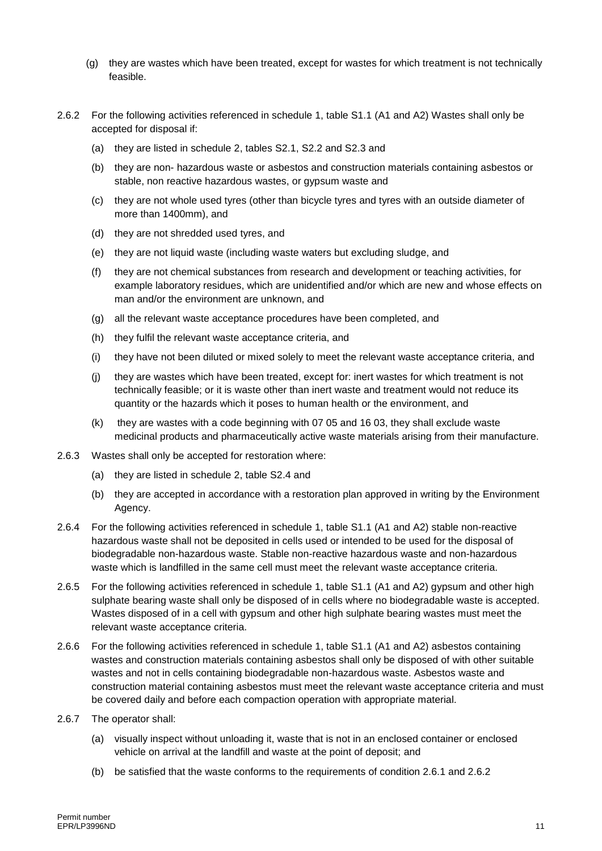- (g) they are wastes which have been treated, except for wastes for which treatment is not technically feasible.
- 2.6.2 For the following activities referenced in schedule 1, table S1.1 (A1 and A2) Wastes shall only be accepted for disposal if:
	- (a) they are listed in schedule 2, tables S2.1, S2.2 and S2.3 and
	- (b) they are non- hazardous waste or asbestos and construction materials containing asbestos or stable, non reactive hazardous wastes, or gypsum waste and
	- (c) they are not whole used tyres (other than bicycle tyres and tyres with an outside diameter of more than 1400mm), and
	- (d) they are not shredded used tyres, and
	- (e) they are not liquid waste (including waste waters but excluding sludge, and
	- (f) they are not chemical substances from research and development or teaching activities, for example laboratory residues, which are unidentified and/or which are new and whose effects on man and/or the environment are unknown, and
	- (g) all the relevant waste acceptance procedures have been completed, and
	- (h) they fulfil the relevant waste acceptance criteria, and
	- (i) they have not been diluted or mixed solely to meet the relevant waste acceptance criteria, and
	- (j) they are wastes which have been treated, except for: inert wastes for which treatment is not technically feasible; or it is waste other than inert waste and treatment would not reduce its quantity or the hazards which it poses to human health or the environment, and
	- (k) they are wastes with a code beginning with 07 05 and 16 03, they shall exclude waste medicinal products and pharmaceutically active waste materials arising from their manufacture.
- 2.6.3 Wastes shall only be accepted for restoration where:
	- (a) they are listed in schedule 2, table S2.4 and
	- (b) they are accepted in accordance with a restoration plan approved in writing by the Environment Agency.
- 2.6.4 For the following activities referenced in schedule 1, table S1.1 (A1 and A2) stable non-reactive hazardous waste shall not be deposited in cells used or intended to be used for the disposal of biodegradable non-hazardous waste. Stable non-reactive hazardous waste and non-hazardous waste which is landfilled in the same cell must meet the relevant waste acceptance criteria.
- 2.6.5 For the following activities referenced in schedule 1, table S1.1 (A1 and A2) gypsum and other high sulphate bearing waste shall only be disposed of in cells where no biodegradable waste is accepted. Wastes disposed of in a cell with gypsum and other high sulphate bearing wastes must meet the relevant waste acceptance criteria.
- 2.6.6 For the following activities referenced in schedule 1, table S1.1 (A1 and A2) asbestos containing wastes and construction materials containing asbestos shall only be disposed of with other suitable wastes and not in cells containing biodegradable non-hazardous waste. Asbestos waste and construction material containing asbestos must meet the relevant waste acceptance criteria and must be covered daily and before each compaction operation with appropriate material.
- 2.6.7 The operator shall:
	- (a) visually inspect without unloading it, waste that is not in an enclosed container or enclosed vehicle on arrival at the landfill and waste at the point of deposit; and
	- (b) be satisfied that the waste conforms to the requirements of condition 2.6.1 and 2.6.2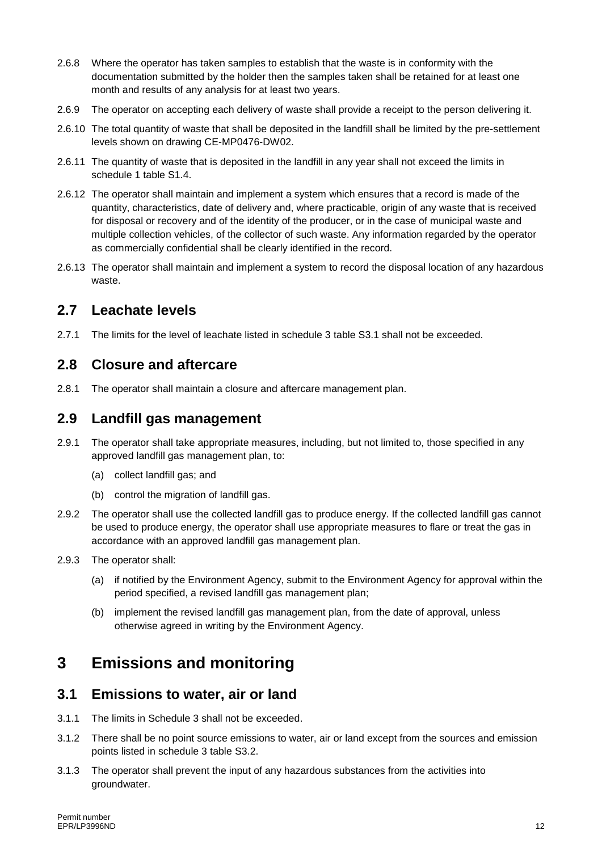- 2.6.8 Where the operator has taken samples to establish that the waste is in conformity with the documentation submitted by the holder then the samples taken shall be retained for at least one month and results of any analysis for at least two years.
- 2.6.9 The operator on accepting each delivery of waste shall provide a receipt to the person delivering it.
- 2.6.10 The total quantity of waste that shall be deposited in the landfill shall be limited by the pre-settlement levels shown on drawing CE-MP0476-DW02.
- 2.6.11 The quantity of waste that is deposited in the landfill in any year shall not exceed the limits in schedule 1 table S1.4.
- 2.6.12 The operator shall maintain and implement a system which ensures that a record is made of the quantity, characteristics, date of delivery and, where practicable, origin of any waste that is received for disposal or recovery and of the identity of the producer, or in the case of municipal waste and multiple collection vehicles, of the collector of such waste. Any information regarded by the operator as commercially confidential shall be clearly identified in the record.
- 2.6.13 The operator shall maintain and implement a system to record the disposal location of any hazardous waste.

#### **2.7 Leachate levels**

2.7.1 The limits for the level of leachate listed in schedule 3 table S3.1 shall not be exceeded.

#### **2.8 Closure and aftercare**

2.8.1 The operator shall maintain a closure and aftercare management plan.

#### **2.9 Landfill gas management**

- 2.9.1 The operator shall take appropriate measures, including, but not limited to, those specified in any approved landfill gas management plan, to:
	- (a) collect landfill gas; and
	- (b) control the migration of landfill gas.
- 2.9.2 The operator shall use the collected landfill gas to produce energy. If the collected landfill gas cannot be used to produce energy, the operator shall use appropriate measures to flare or treat the gas in accordance with an approved landfill gas management plan.
- 2.9.3 The operator shall:
	- (a) if notified by the Environment Agency, submit to the Environment Agency for approval within the period specified, a revised landfill gas management plan;
	- (b) implement the revised landfill gas management plan, from the date of approval, unless otherwise agreed in writing by the Environment Agency.

### **3 Emissions and monitoring**

#### **3.1 Emissions to water, air or land**

- 3.1.1 The limits in Schedule 3 shall not be exceeded.
- 3.1.2 There shall be no point source emissions to water, air or land except from the sources and emission points listed in schedule 3 table S3.2.
- 3.1.3 The operator shall prevent the input of any hazardous substances from the activities into groundwater.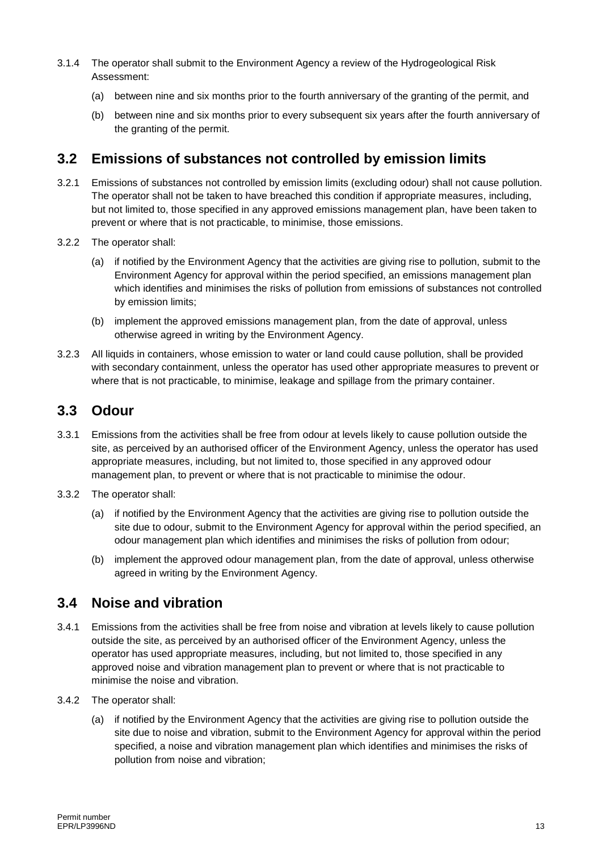- 3.1.4 The operator shall submit to the Environment Agency a review of the Hydrogeological Risk Assessment:
	- (a) between nine and six months prior to the fourth anniversary of the granting of the permit, and
	- (b) between nine and six months prior to every subsequent six years after the fourth anniversary of the granting of the permit.

#### **3.2 Emissions of substances not controlled by emission limits**

- 3.2.1 Emissions of substances not controlled by emission limits (excluding odour) shall not cause pollution. The operator shall not be taken to have breached this condition if appropriate measures, including, but not limited to, those specified in any approved emissions management plan, have been taken to prevent or where that is not practicable, to minimise, those emissions.
- 3.2.2 The operator shall:
	- (a) if notified by the Environment Agency that the activities are giving rise to pollution, submit to the Environment Agency for approval within the period specified, an emissions management plan which identifies and minimises the risks of pollution from emissions of substances not controlled by emission limits;
	- (b) implement the approved emissions management plan, from the date of approval, unless otherwise agreed in writing by the Environment Agency.
- 3.2.3 All liquids in containers, whose emission to water or land could cause pollution, shall be provided with secondary containment, unless the operator has used other appropriate measures to prevent or where that is not practicable, to minimise, leakage and spillage from the primary container.

#### **3.3 Odour**

- 3.3.1 Emissions from the activities shall be free from odour at levels likely to cause pollution outside the site, as perceived by an authorised officer of the Environment Agency, unless the operator has used appropriate measures, including, but not limited to, those specified in any approved odour management plan, to prevent or where that is not practicable to minimise the odour.
- 3.3.2 The operator shall:
	- (a) if notified by the Environment Agency that the activities are giving rise to pollution outside the site due to odour, submit to the Environment Agency for approval within the period specified, an odour management plan which identifies and minimises the risks of pollution from odour;
	- (b) implement the approved odour management plan, from the date of approval, unless otherwise agreed in writing by the Environment Agency.

### **3.4 Noise and vibration**

- 3.4.1 Emissions from the activities shall be free from noise and vibration at levels likely to cause pollution outside the site, as perceived by an authorised officer of the Environment Agency, unless the operator has used appropriate measures, including, but not limited to, those specified in any approved noise and vibration management plan to prevent or where that is not practicable to minimise the noise and vibration.
- 3.4.2 The operator shall:
	- (a) if notified by the Environment Agency that the activities are giving rise to pollution outside the site due to noise and vibration, submit to the Environment Agency for approval within the period specified, a noise and vibration management plan which identifies and minimises the risks of pollution from noise and vibration;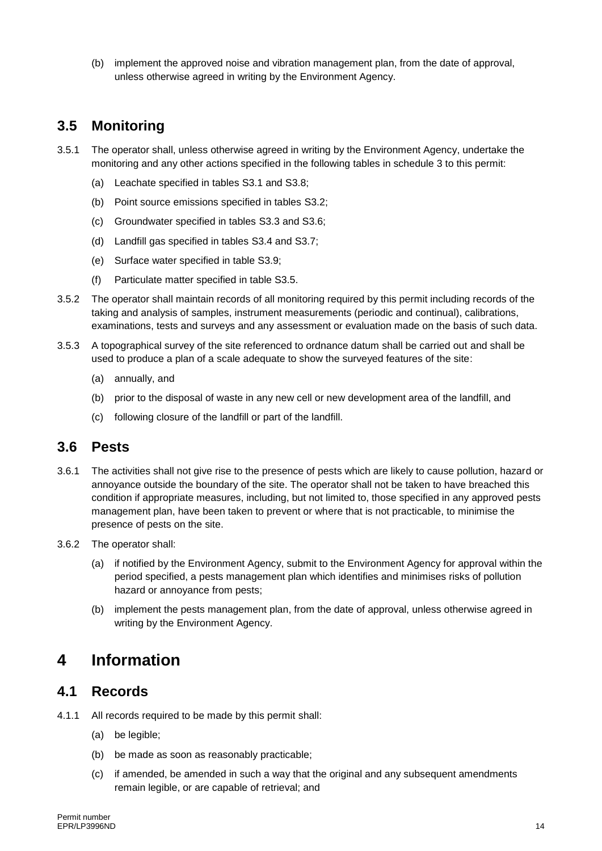(b) implement the approved noise and vibration management plan, from the date of approval, unless otherwise agreed in writing by the Environment Agency.

### **3.5 Monitoring**

- 3.5.1 The operator shall, unless otherwise agreed in writing by the Environment Agency, undertake the monitoring and any other actions specified in the following tables in schedule 3 to this permit:
	- (a) Leachate specified in tables S3.1 and S3.8;
	- (b) Point source emissions specified in tables S3.2;
	- (c) Groundwater specified in tables S3.3 and S3.6;
	- (d) Landfill gas specified in tables S3.4 and S3.7;
	- (e) Surface water specified in table S3.9;
	- (f) Particulate matter specified in table S3.5.
- 3.5.2 The operator shall maintain records of all monitoring required by this permit including records of the taking and analysis of samples, instrument measurements (periodic and continual), calibrations, examinations, tests and surveys and any assessment or evaluation made on the basis of such data.
- 3.5.3 A topographical survey of the site referenced to ordnance datum shall be carried out and shall be used to produce a plan of a scale adequate to show the surveyed features of the site:
	- (a) annually, and
	- (b) prior to the disposal of waste in any new cell or new development area of the landfill, and
	- (c) following closure of the landfill or part of the landfill.

#### **3.6 Pests**

- 3.6.1 The activities shall not give rise to the presence of pests which are likely to cause pollution, hazard or annoyance outside the boundary of the site. The operator shall not be taken to have breached this condition if appropriate measures, including, but not limited to, those specified in any approved pests management plan, have been taken to prevent or where that is not practicable, to minimise the presence of pests on the site.
- 3.6.2 The operator shall:
	- (a) if notified by the Environment Agency, submit to the Environment Agency for approval within the period specified, a pests management plan which identifies and minimises risks of pollution hazard or annoyance from pests;
	- (b) implement the pests management plan, from the date of approval, unless otherwise agreed in writing by the Environment Agency.

## **4 Information**

#### **4.1 Records**

- 4.1.1 All records required to be made by this permit shall:
	- (a) be legible;
	- (b) be made as soon as reasonably practicable;
	- (c) if amended, be amended in such a way that the original and any subsequent amendments remain legible, or are capable of retrieval; and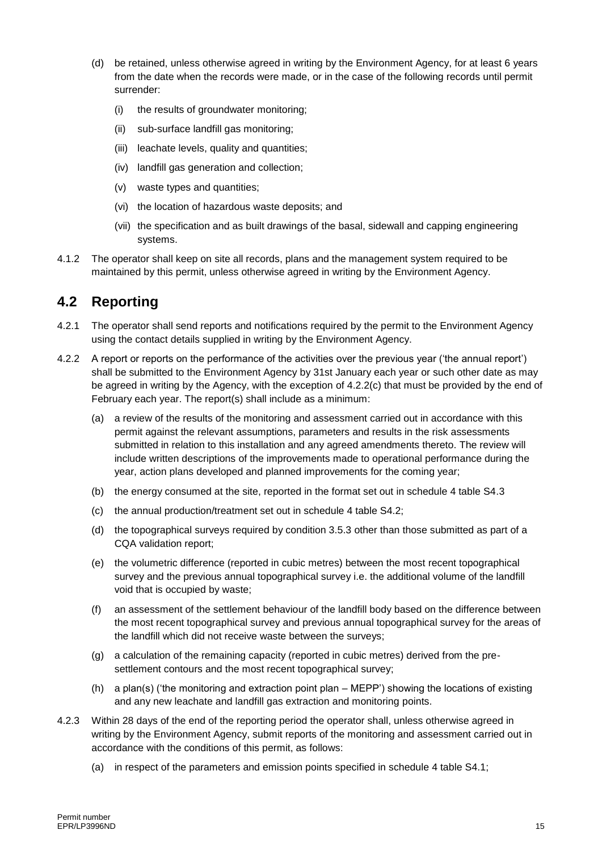- (d) be retained, unless otherwise agreed in writing by the Environment Agency, for at least 6 years from the date when the records were made, or in the case of the following records until permit surrender:
	- (i) the results of groundwater monitoring;
	- (ii) sub-surface landfill gas monitoring;
	- (iii) leachate levels, quality and quantities;
	- (iv) landfill gas generation and collection;
	- (v) waste types and quantities;
	- (vi) the location of hazardous waste deposits; and
	- (vii) the specification and as built drawings of the basal, sidewall and capping engineering systems.
- 4.1.2 The operator shall keep on site all records, plans and the management system required to be maintained by this permit, unless otherwise agreed in writing by the Environment Agency.

### **4.2 Reporting**

- 4.2.1 The operator shall send reports and notifications required by the permit to the Environment Agency using the contact details supplied in writing by the Environment Agency.
- 4.2.2 A report or reports on the performance of the activities over the previous year ('the annual report') shall be submitted to the Environment Agency by 31st January each year or such other date as may be agreed in writing by the Agency, with the exception of 4.2.2(c) that must be provided by the end of February each year. The report(s) shall include as a minimum:
	- (a) a review of the results of the monitoring and assessment carried out in accordance with this permit against the relevant assumptions, parameters and results in the risk assessments submitted in relation to this installation and any agreed amendments thereto. The review will include written descriptions of the improvements made to operational performance during the year, action plans developed and planned improvements for the coming year;
	- (b) the energy consumed at the site, reported in the format set out in schedule 4 table S4.3
	- (c) the annual production/treatment set out in schedule 4 table S4.2;
	- (d) the topographical surveys required by condition 3.5.3 other than those submitted as part of a CQA validation report;
	- (e) the volumetric difference (reported in cubic metres) between the most recent topographical survey and the previous annual topographical survey i.e. the additional volume of the landfill void that is occupied by waste;
	- (f) an assessment of the settlement behaviour of the landfill body based on the difference between the most recent topographical survey and previous annual topographical survey for the areas of the landfill which did not receive waste between the surveys;
	- (g) a calculation of the remaining capacity (reported in cubic metres) derived from the presettlement contours and the most recent topographical survey;
	- (h) a plan(s) ('the monitoring and extraction point plan MEPP') showing the locations of existing and any new leachate and landfill gas extraction and monitoring points.
- 4.2.3 Within 28 days of the end of the reporting period the operator shall, unless otherwise agreed in writing by the Environment Agency, submit reports of the monitoring and assessment carried out in accordance with the conditions of this permit, as follows:
	- (a) in respect of the parameters and emission points specified in schedule 4 table S4.1;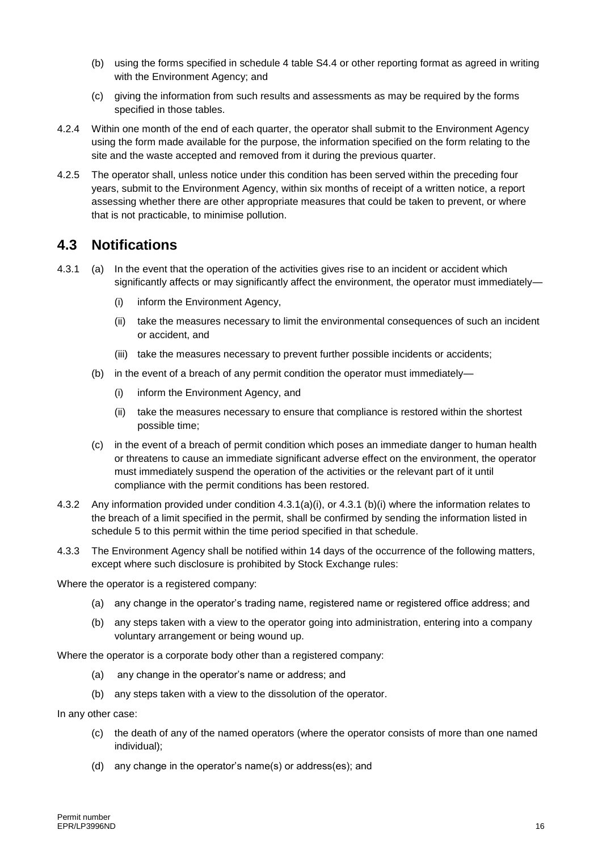- (b) using the forms specified in schedule 4 table S4.4 or other reporting format as agreed in writing with the Environment Agency; and
- (c) giving the information from such results and assessments as may be required by the forms specified in those tables.
- 4.2.4 Within one month of the end of each quarter, the operator shall submit to the Environment Agency using the form made available for the purpose, the information specified on the form relating to the site and the waste accepted and removed from it during the previous quarter.
- 4.2.5 The operator shall, unless notice under this condition has been served within the preceding four years, submit to the Environment Agency, within six months of receipt of a written notice, a report assessing whether there are other appropriate measures that could be taken to prevent, or where that is not practicable, to minimise pollution.

#### **4.3 Notifications**

- 4.3.1 (a) In the event that the operation of the activities gives rise to an incident or accident which significantly affects or may significantly affect the environment, the operator must immediately-
	- (i) inform the Environment Agency,
	- (ii) take the measures necessary to limit the environmental consequences of such an incident or accident, and
	- (iii) take the measures necessary to prevent further possible incidents or accidents;
	- (b) in the event of a breach of any permit condition the operator must immediately—
		- (i) inform the Environment Agency, and
		- (ii) take the measures necessary to ensure that compliance is restored within the shortest possible time;
	- (c) in the event of a breach of permit condition which poses an immediate danger to human health or threatens to cause an immediate significant adverse effect on the environment, the operator must immediately suspend the operation of the activities or the relevant part of it until compliance with the permit conditions has been restored.
- 4.3.2 Any information provided under condition 4.3.1(a)(i), or 4.3.1 (b)(i) where the information relates to the breach of a limit specified in the permit, shall be confirmed by sending the information listed in schedule 5 to this permit within the time period specified in that schedule.
- 4.3.3 The Environment Agency shall be notified within 14 days of the occurrence of the following matters, except where such disclosure is prohibited by Stock Exchange rules:

Where the operator is a registered company:

- (a) any change in the operator's trading name, registered name or registered office address; and
- (b) any steps taken with a view to the operator going into administration, entering into a company voluntary arrangement or being wound up.

Where the operator is a corporate body other than a registered company:

- (a) any change in the operator's name or address; and
- (b) any steps taken with a view to the dissolution of the operator.

In any other case:

- (c) the death of any of the named operators (where the operator consists of more than one named individual);
- (d) any change in the operator's name(s) or address(es); and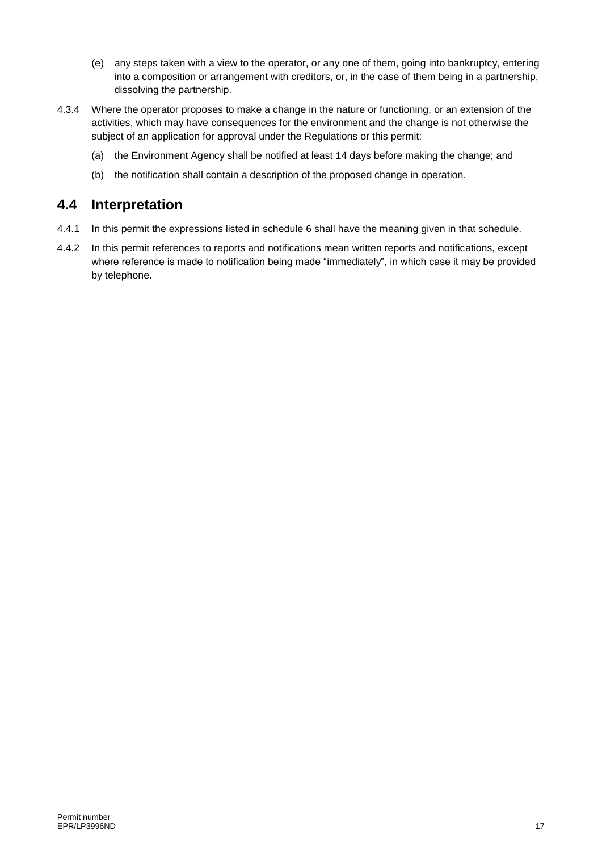- (e) any steps taken with a view to the operator, or any one of them, going into bankruptcy, entering into a composition or arrangement with creditors, or, in the case of them being in a partnership, dissolving the partnership.
- 4.3.4 Where the operator proposes to make a change in the nature or functioning, or an extension of the activities, which may have consequences for the environment and the change is not otherwise the subject of an application for approval under the Regulations or this permit:
	- (a) the Environment Agency shall be notified at least 14 days before making the change; and
	- (b) the notification shall contain a description of the proposed change in operation.

#### **4.4 Interpretation**

- 4.4.1 In this permit the expressions listed in schedule 6 shall have the meaning given in that schedule.
- 4.4.2 In this permit references to reports and notifications mean written reports and notifications, except where reference is made to notification being made "immediately", in which case it may be provided by telephone.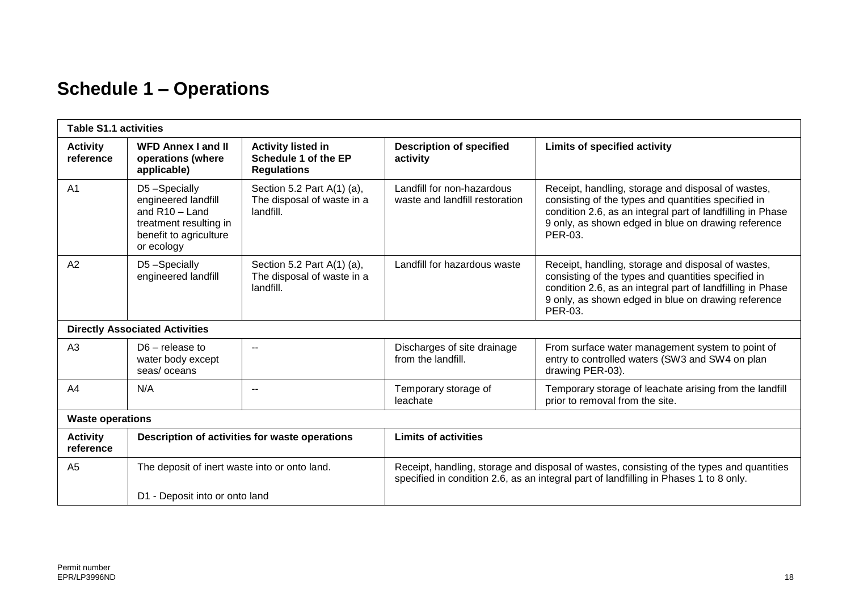# **Schedule 1 – Operations**

| <b>Table S1.1 activities</b>                                                   |                                                                                                                           |                                                                                                                                                                                    |                                                              |                                                                                                                                                                                                                                           |
|--------------------------------------------------------------------------------|---------------------------------------------------------------------------------------------------------------------------|------------------------------------------------------------------------------------------------------------------------------------------------------------------------------------|--------------------------------------------------------------|-------------------------------------------------------------------------------------------------------------------------------------------------------------------------------------------------------------------------------------------|
| <b>Activity</b><br>reference                                                   | <b>WFD Annex I and II</b><br>operations (where<br>applicable)                                                             | <b>Activity listed in</b><br>Schedule 1 of the EP<br><b>Regulations</b>                                                                                                            | <b>Description of specified</b><br>activity                  | <b>Limits of specified activity</b>                                                                                                                                                                                                       |
| A <sub>1</sub>                                                                 | D5-Specially<br>engineered landfill<br>and $R10 -$ Land<br>treatment resulting in<br>benefit to agriculture<br>or ecology | Section 5.2 Part A(1) (a),<br>The disposal of waste in a<br>landfill.                                                                                                              | Landfill for non-hazardous<br>waste and landfill restoration | Receipt, handling, storage and disposal of wastes,<br>consisting of the types and quantities specified in<br>condition 2.6, as an integral part of landfilling in Phase<br>9 only, as shown edged in blue on drawing reference<br>PER-03. |
| A2                                                                             | D5-Specially<br>engineered landfill                                                                                       | Section 5.2 Part $A(1)$ (a),<br>The disposal of waste in a<br>landfill.                                                                                                            | Landfill for hazardous waste                                 | Receipt, handling, storage and disposal of wastes,<br>consisting of the types and quantities specified in<br>condition 2.6, as an integral part of landfilling in Phase<br>9 only, as shown edged in blue on drawing reference<br>PER-03. |
|                                                                                | <b>Directly Associated Activities</b>                                                                                     |                                                                                                                                                                                    |                                                              |                                                                                                                                                                                                                                           |
| A3                                                                             | $D6$ – release to<br>water body except<br>seas/oceans                                                                     | $- -$                                                                                                                                                                              | Discharges of site drainage<br>from the landfill.            | From surface water management system to point of<br>entry to controlled waters (SW3 and SW4 on plan<br>drawing PER-03).                                                                                                                   |
| A <sub>4</sub>                                                                 | N/A                                                                                                                       | $\overline{\phantom{a}}$                                                                                                                                                           | Temporary storage of<br>leachate                             | Temporary storage of leachate arising from the landfill<br>prior to removal from the site.                                                                                                                                                |
| <b>Waste operations</b>                                                        |                                                                                                                           |                                                                                                                                                                                    |                                                              |                                                                                                                                                                                                                                           |
| <b>Activity</b><br>Description of activities for waste operations<br>reference |                                                                                                                           | <b>Limits of activities</b>                                                                                                                                                        |                                                              |                                                                                                                                                                                                                                           |
| A <sub>5</sub><br>The deposit of inert waste into or onto land.                |                                                                                                                           | Receipt, handling, storage and disposal of wastes, consisting of the types and quantities<br>specified in condition 2.6, as an integral part of landfilling in Phases 1 to 8 only. |                                                              |                                                                                                                                                                                                                                           |
|                                                                                | D1 - Deposit into or onto land                                                                                            |                                                                                                                                                                                    |                                                              |                                                                                                                                                                                                                                           |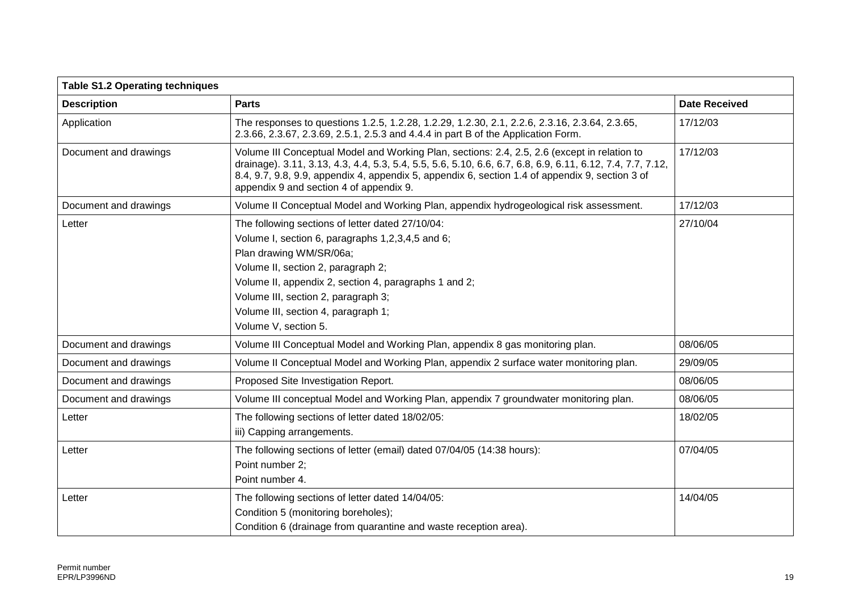| <b>Table S1.2 Operating techniques</b> |                                                                                                                                                                                                                                                                                                                                                          |                      |
|----------------------------------------|----------------------------------------------------------------------------------------------------------------------------------------------------------------------------------------------------------------------------------------------------------------------------------------------------------------------------------------------------------|----------------------|
| <b>Description</b>                     | <b>Parts</b>                                                                                                                                                                                                                                                                                                                                             | <b>Date Received</b> |
| Application                            | The responses to questions 1.2.5, 1.2.28, 1.2.29, 1.2.30, 2.1, 2.2.6, 2.3.16, 2.3.64, 2.3.65,<br>2.3.66, 2.3.67, 2.3.69, 2.5.1, 2.5.3 and 4.4.4 in part B of the Application Form.                                                                                                                                                                       | 17/12/03             |
| Document and drawings                  | Volume III Conceptual Model and Working Plan, sections: 2.4, 2.5, 2.6 (except in relation to<br>drainage). 3.11, 3.13, 4.3, 4.4, 5.3, 5.4, 5.5, 5.6, 5.10, 6.6, 6.7, 6.8, 6.9, 6.11, 6.12, 7.4, 7.7, 7.12,<br>8.4, 9.7, 9.8, 9.9, appendix 4, appendix 5, appendix 6, section 1.4 of appendix 9, section 3 of<br>appendix 9 and section 4 of appendix 9. | 17/12/03             |
| Document and drawings                  | Volume II Conceptual Model and Working Plan, appendix hydrogeological risk assessment.                                                                                                                                                                                                                                                                   | 17/12/03             |
| Letter                                 | The following sections of letter dated 27/10/04:<br>Volume I, section 6, paragraphs 1,2,3,4,5 and 6;<br>Plan drawing WM/SR/06a;<br>Volume II, section 2, paragraph 2;<br>Volume II, appendix 2, section 4, paragraphs 1 and 2;<br>Volume III, section 2, paragraph 3;<br>Volume III, section 4, paragraph 1;<br>Volume V, section 5.                     | 27/10/04             |
| Document and drawings                  | Volume III Conceptual Model and Working Plan, appendix 8 gas monitoring plan.                                                                                                                                                                                                                                                                            | 08/06/05             |
| Document and drawings                  | Volume II Conceptual Model and Working Plan, appendix 2 surface water monitoring plan.                                                                                                                                                                                                                                                                   | 29/09/05             |
| Document and drawings                  | Proposed Site Investigation Report.                                                                                                                                                                                                                                                                                                                      | 08/06/05             |
| Document and drawings                  | Volume III conceptual Model and Working Plan, appendix 7 groundwater monitoring plan.                                                                                                                                                                                                                                                                    | 08/06/05             |
| Letter                                 | The following sections of letter dated 18/02/05:<br>iii) Capping arrangements.                                                                                                                                                                                                                                                                           | 18/02/05             |
| Letter                                 | The following sections of letter (email) dated 07/04/05 (14:38 hours):<br>Point number 2;<br>Point number 4.                                                                                                                                                                                                                                             | 07/04/05             |
| Letter                                 | The following sections of letter dated 14/04/05:<br>Condition 5 (monitoring boreholes);<br>Condition 6 (drainage from quarantine and waste reception area).                                                                                                                                                                                              | 14/04/05             |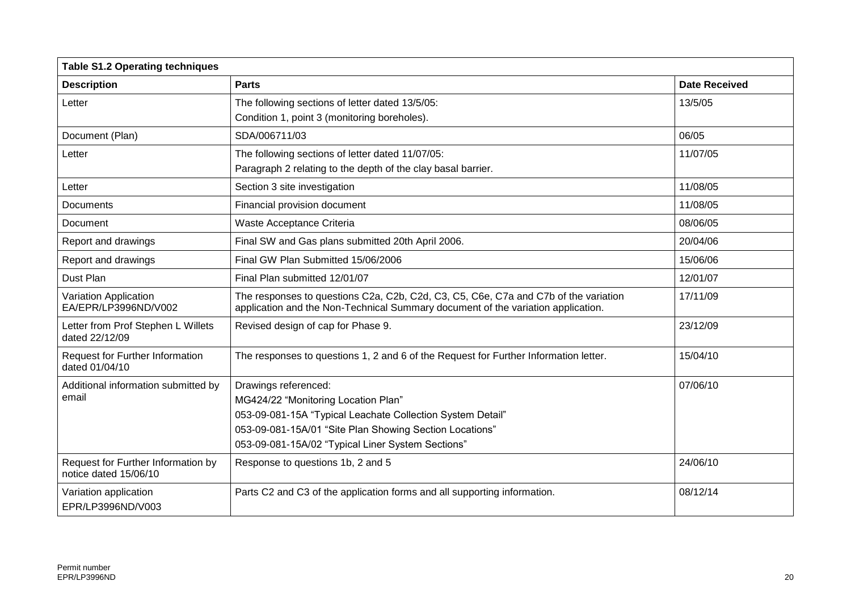| <b>Table S1.2 Operating techniques</b>                      |                                                                                                                                                                                                                                           |                      |
|-------------------------------------------------------------|-------------------------------------------------------------------------------------------------------------------------------------------------------------------------------------------------------------------------------------------|----------------------|
| <b>Description</b>                                          | <b>Parts</b>                                                                                                                                                                                                                              | <b>Date Received</b> |
| Letter                                                      | The following sections of letter dated 13/5/05:<br>Condition 1, point 3 (monitoring boreholes).                                                                                                                                           | 13/5/05              |
| Document (Plan)                                             | SDA/006711/03                                                                                                                                                                                                                             | 06/05                |
| Letter                                                      | The following sections of letter dated 11/07/05:<br>Paragraph 2 relating to the depth of the clay basal barrier.                                                                                                                          | 11/07/05             |
| Letter                                                      | Section 3 site investigation                                                                                                                                                                                                              | 11/08/05             |
| <b>Documents</b>                                            | Financial provision document                                                                                                                                                                                                              | 11/08/05             |
| Document                                                    | Waste Acceptance Criteria                                                                                                                                                                                                                 | 08/06/05             |
| Report and drawings                                         | Final SW and Gas plans submitted 20th April 2006.                                                                                                                                                                                         | 20/04/06             |
| Report and drawings                                         | Final GW Plan Submitted 15/06/2006                                                                                                                                                                                                        | 15/06/06             |
| Dust Plan                                                   | Final Plan submitted 12/01/07                                                                                                                                                                                                             | 12/01/07             |
| Variation Application<br>EA/EPR/LP3996ND/V002               | The responses to questions C2a, C2b, C2d, C3, C5, C6e, C7a and C7b of the variation<br>application and the Non-Technical Summary document of the variation application.                                                                   | 17/11/09             |
| Letter from Prof Stephen L Willets<br>dated 22/12/09        | Revised design of cap for Phase 9.                                                                                                                                                                                                        | 23/12/09             |
| <b>Request for Further Information</b><br>dated 01/04/10    | The responses to questions 1, 2 and 6 of the Request for Further Information letter.                                                                                                                                                      | 15/04/10             |
| Additional information submitted by<br>email                | Drawings referenced:<br>MG424/22 "Monitoring Location Plan"<br>053-09-081-15A "Typical Leachate Collection System Detail"<br>053-09-081-15A/01 "Site Plan Showing Section Locations"<br>053-09-081-15A/02 "Typical Liner System Sections" | 07/06/10             |
| Request for Further Information by<br>notice dated 15/06/10 | Response to questions 1b, 2 and 5                                                                                                                                                                                                         | 24/06/10             |
| Variation application<br>EPR/LP3996ND/V003                  | Parts C2 and C3 of the application forms and all supporting information.                                                                                                                                                                  | 08/12/14             |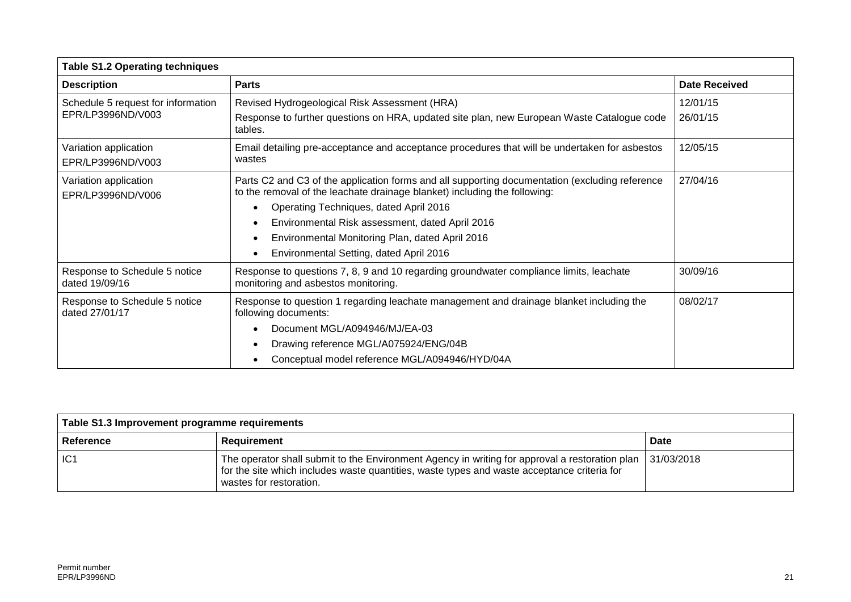| <b>Table S1.2 Operating techniques</b>          |                                                                                                                                                                             |                      |
|-------------------------------------------------|-----------------------------------------------------------------------------------------------------------------------------------------------------------------------------|----------------------|
| <b>Description</b>                              | <b>Parts</b>                                                                                                                                                                | <b>Date Received</b> |
| Schedule 5 request for information              | Revised Hydrogeological Risk Assessment (HRA)                                                                                                                               | 12/01/15             |
| EPR/LP3996ND/V003                               | Response to further questions on HRA, updated site plan, new European Waste Catalogue code<br>tables.                                                                       | 26/01/15             |
| Variation application<br>EPR/LP3996ND/V003      | Email detailing pre-acceptance and acceptance procedures that will be undertaken for asbestos<br>wastes                                                                     | 12/05/15             |
| Variation application<br>EPR/LP3996ND/V006      | Parts C2 and C3 of the application forms and all supporting documentation (excluding reference<br>to the removal of the leachate drainage blanket) including the following: | 27/04/16             |
|                                                 | Operating Techniques, dated April 2016                                                                                                                                      |                      |
|                                                 | Environmental Risk assessment, dated April 2016                                                                                                                             |                      |
|                                                 | Environmental Monitoring Plan, dated April 2016                                                                                                                             |                      |
|                                                 | Environmental Setting, dated April 2016                                                                                                                                     |                      |
| Response to Schedule 5 notice<br>dated 19/09/16 | Response to questions 7, 8, 9 and 10 regarding groundwater compliance limits, leachate<br>monitoring and asbestos monitoring.                                               | 30/09/16             |
| Response to Schedule 5 notice<br>dated 27/01/17 | Response to question 1 regarding leachate management and drainage blanket including the<br>following documents:                                                             | 08/02/17             |
|                                                 | Document MGL/A094946/MJ/EA-03                                                                                                                                               |                      |
|                                                 | Drawing reference MGL/A075924/ENG/04B                                                                                                                                       |                      |
|                                                 | Conceptual model reference MGL/A094946/HYD/04A                                                                                                                              |                      |

| Table S1.3 Improvement programme requirements |                                                                                                                                                                                                                          |             |
|-----------------------------------------------|--------------------------------------------------------------------------------------------------------------------------------------------------------------------------------------------------------------------------|-------------|
| Reference                                     | Requirement                                                                                                                                                                                                              | <b>Date</b> |
| IC1                                           | The operator shall submit to the Environment Agency in writing for approval a restoration plan<br>for the site which includes waste quantities, waste types and waste acceptance criteria for<br>wastes for restoration. | 31/03/2018  |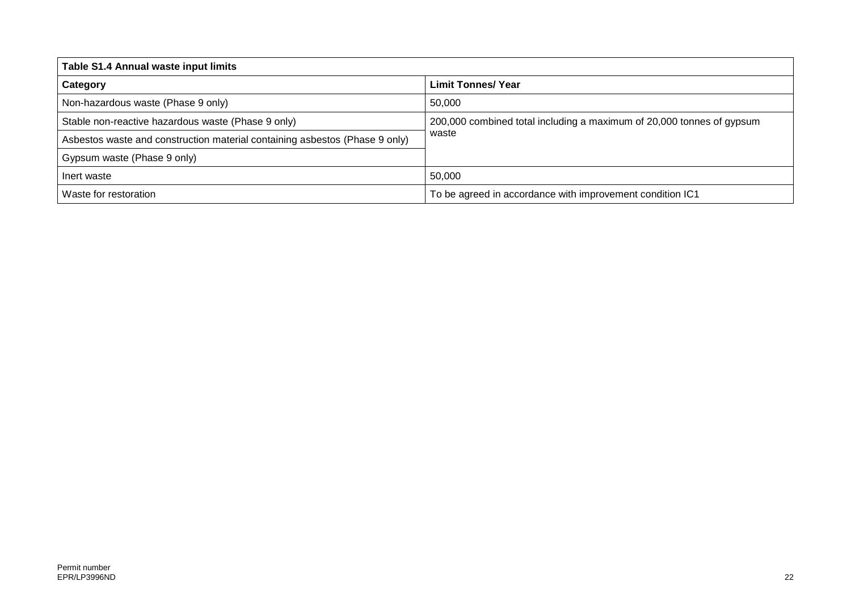| Table S1.4 Annual waste input limits                                        |                                                                                |  |
|-----------------------------------------------------------------------------|--------------------------------------------------------------------------------|--|
| Category                                                                    | <b>Limit Tonnes/ Year</b>                                                      |  |
| Non-hazardous waste (Phase 9 only)                                          | 50.000                                                                         |  |
| Stable non-reactive hazardous waste (Phase 9 only)                          | 200,000 combined total including a maximum of 20,000 tonnes of gypsum<br>waste |  |
| Asbestos waste and construction material containing asbestos (Phase 9 only) |                                                                                |  |
| Gypsum waste (Phase 9 only)                                                 |                                                                                |  |
| Inert waste                                                                 | 50,000                                                                         |  |
| Waste for restoration                                                       | To be agreed in accordance with improvement condition IC1                      |  |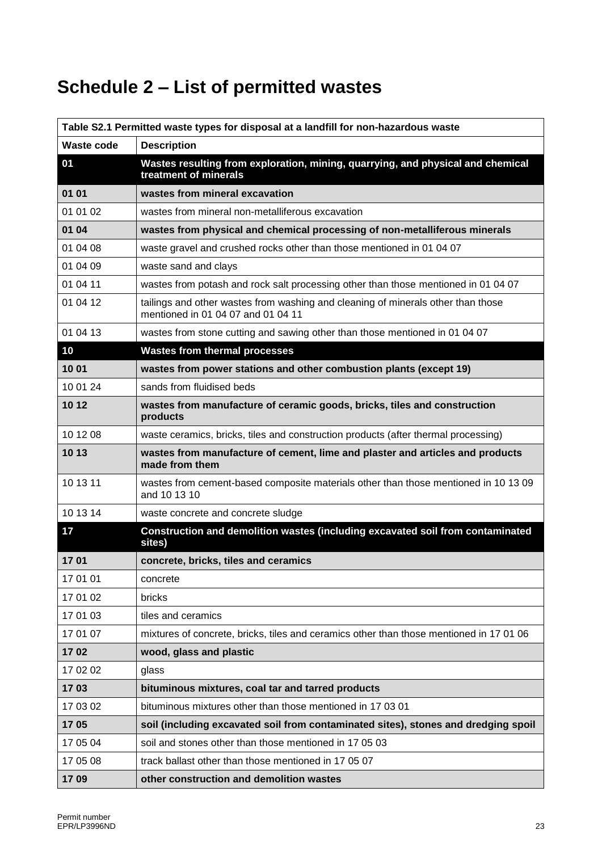# **Schedule 2 – List of permitted wastes**

| Table S2.1 Permitted waste types for disposal at a landfill for non-hazardous waste |                                                                                                                        |
|-------------------------------------------------------------------------------------|------------------------------------------------------------------------------------------------------------------------|
| Waste code                                                                          | <b>Description</b>                                                                                                     |
| 01                                                                                  | Wastes resulting from exploration, mining, quarrying, and physical and chemical<br>treatment of minerals               |
| 01 01                                                                               | wastes from mineral excavation                                                                                         |
| 01 01 02                                                                            | wastes from mineral non-metalliferous excavation                                                                       |
| 01 04                                                                               | wastes from physical and chemical processing of non-metalliferous minerals                                             |
| 01 04 08                                                                            | waste gravel and crushed rocks other than those mentioned in 01 04 07                                                  |
| 01 04 09                                                                            | waste sand and clays                                                                                                   |
| 01 04 11                                                                            | wastes from potash and rock salt processing other than those mentioned in 01 04 07                                     |
| 01 04 12                                                                            | tailings and other wastes from washing and cleaning of minerals other than those<br>mentioned in 01 04 07 and 01 04 11 |
| 01 04 13                                                                            | wastes from stone cutting and sawing other than those mentioned in 01 04 07                                            |
| 10                                                                                  | <b>Wastes from thermal processes</b>                                                                                   |
| 10 01                                                                               | wastes from power stations and other combustion plants (except 19)                                                     |
| 10 01 24                                                                            | sands from fluidised beds                                                                                              |
| 10 12                                                                               | wastes from manufacture of ceramic goods, bricks, tiles and construction<br>products                                   |
| 10 12 08                                                                            | waste ceramics, bricks, tiles and construction products (after thermal processing)                                     |
| 10 13                                                                               | wastes from manufacture of cement, lime and plaster and articles and products<br>made from them                        |
| 10 13 11                                                                            | wastes from cement-based composite materials other than those mentioned in 10 13 09<br>and 10 13 10                    |
| 10 13 14                                                                            | waste concrete and concrete sludge                                                                                     |
| 17                                                                                  | Construction and demolition wastes (including excavated soil from contaminated<br>sites)                               |
| 1701                                                                                | concrete, bricks, tiles and ceramics                                                                                   |
| 17 01 01                                                                            | concrete                                                                                                               |
| 17 01 02                                                                            | bricks                                                                                                                 |
| 17 01 03                                                                            | tiles and ceramics                                                                                                     |
| 17 01 07                                                                            | mixtures of concrete, bricks, tiles and ceramics other than those mentioned in 17 01 06                                |
| 1702                                                                                | wood, glass and plastic                                                                                                |
| 17 02 02                                                                            | glass                                                                                                                  |
| 1703                                                                                | bituminous mixtures, coal tar and tarred products                                                                      |
| 17 03 02                                                                            | bituminous mixtures other than those mentioned in 17 03 01                                                             |
| 1705                                                                                | soil (including excavated soil from contaminated sites), stones and dredging spoil                                     |
| 17 05 04                                                                            | soil and stones other than those mentioned in 17 05 03                                                                 |
| 17 05 08                                                                            | track ballast other than those mentioned in 17 05 07                                                                   |
| 1709                                                                                | other construction and demolition wastes                                                                               |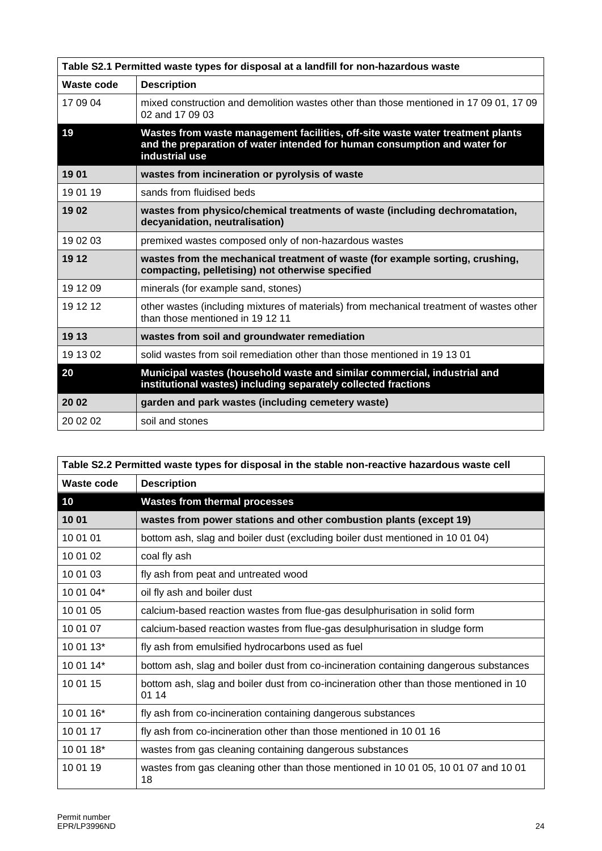| Table S2.1 Permitted waste types for disposal at a landfill for non-hazardous waste |                                                                                                                                                                               |  |  |  |  |  |
|-------------------------------------------------------------------------------------|-------------------------------------------------------------------------------------------------------------------------------------------------------------------------------|--|--|--|--|--|
| <b>Waste code</b>                                                                   | <b>Description</b>                                                                                                                                                            |  |  |  |  |  |
| 17 09 04                                                                            | mixed construction and demolition wastes other than those mentioned in 17 09 01, 17 09<br>02 and 17 09 03                                                                     |  |  |  |  |  |
| 19                                                                                  | Wastes from waste management facilities, off-site waste water treatment plants<br>and the preparation of water intended for human consumption and water for<br>industrial use |  |  |  |  |  |
| 1901                                                                                | wastes from incineration or pyrolysis of waste                                                                                                                                |  |  |  |  |  |
| 19 01 19                                                                            | sands from fluidised beds                                                                                                                                                     |  |  |  |  |  |
| 19 02                                                                               | wastes from physico/chemical treatments of waste (including dechromatation,<br>decyanidation, neutralisation)                                                                 |  |  |  |  |  |
| 19 02 03                                                                            | premixed wastes composed only of non-hazardous wastes                                                                                                                         |  |  |  |  |  |
| 19 12                                                                               | wastes from the mechanical treatment of waste (for example sorting, crushing,<br>compacting, pelletising) not otherwise specified                                             |  |  |  |  |  |
| 19 12 09                                                                            | minerals (for example sand, stones)                                                                                                                                           |  |  |  |  |  |
| 19 12 12                                                                            | other wastes (including mixtures of materials) from mechanical treatment of wastes other<br>than those mentioned in 19 12 11                                                  |  |  |  |  |  |
| 19 13                                                                               | wastes from soil and groundwater remediation                                                                                                                                  |  |  |  |  |  |
| 19 13 02                                                                            | solid wastes from soil remediation other than those mentioned in 19 13 01                                                                                                     |  |  |  |  |  |
| 20                                                                                  | Municipal wastes (household waste and similar commercial, industrial and<br>institutional wastes) including separately collected fractions                                    |  |  |  |  |  |
| 20 02                                                                               | garden and park wastes (including cemetery waste)                                                                                                                             |  |  |  |  |  |
| 20 02 02                                                                            | soil and stones                                                                                                                                                               |  |  |  |  |  |

| Table S2.2 Permitted waste types for disposal in the stable non-reactive hazardous waste cell |                                                                                                 |  |  |  |  |  |
|-----------------------------------------------------------------------------------------------|-------------------------------------------------------------------------------------------------|--|--|--|--|--|
| Waste code                                                                                    | <b>Description</b>                                                                              |  |  |  |  |  |
| 10                                                                                            | <b>Wastes from thermal processes</b>                                                            |  |  |  |  |  |
| 10 01                                                                                         | wastes from power stations and other combustion plants (except 19)                              |  |  |  |  |  |
| 10 01 01                                                                                      | bottom ash, slag and boiler dust (excluding boiler dust mentioned in 10 01 04)                  |  |  |  |  |  |
| 10 01 02                                                                                      | coal fly ash                                                                                    |  |  |  |  |  |
| 10 01 03                                                                                      | fly ash from peat and untreated wood                                                            |  |  |  |  |  |
| 10 01 04*                                                                                     | oil fly ash and boiler dust                                                                     |  |  |  |  |  |
| 10 01 05                                                                                      | calcium-based reaction wastes from flue-gas desulphurisation in solid form                      |  |  |  |  |  |
| 10 01 07                                                                                      | calcium-based reaction wastes from flue-gas desulphurisation in sludge form                     |  |  |  |  |  |
| 10 01 13*                                                                                     | fly ash from emulsified hydrocarbons used as fuel                                               |  |  |  |  |  |
| 10 01 14*                                                                                     | bottom ash, slag and boiler dust from co-incineration containing dangerous substances           |  |  |  |  |  |
| 10 01 15                                                                                      | bottom ash, slag and boiler dust from co-incineration other than those mentioned in 10<br>01 14 |  |  |  |  |  |
| 10 01 16*                                                                                     | fly ash from co-incineration containing dangerous substances                                    |  |  |  |  |  |
| 10 01 17                                                                                      | fly ash from co-incineration other than those mentioned in 10 01 16                             |  |  |  |  |  |
| 10 01 18*                                                                                     | wastes from gas cleaning containing dangerous substances                                        |  |  |  |  |  |
| 10 01 19                                                                                      | wastes from gas cleaning other than those mentioned in 10 01 05, 10 01 07 and 10 01<br>18       |  |  |  |  |  |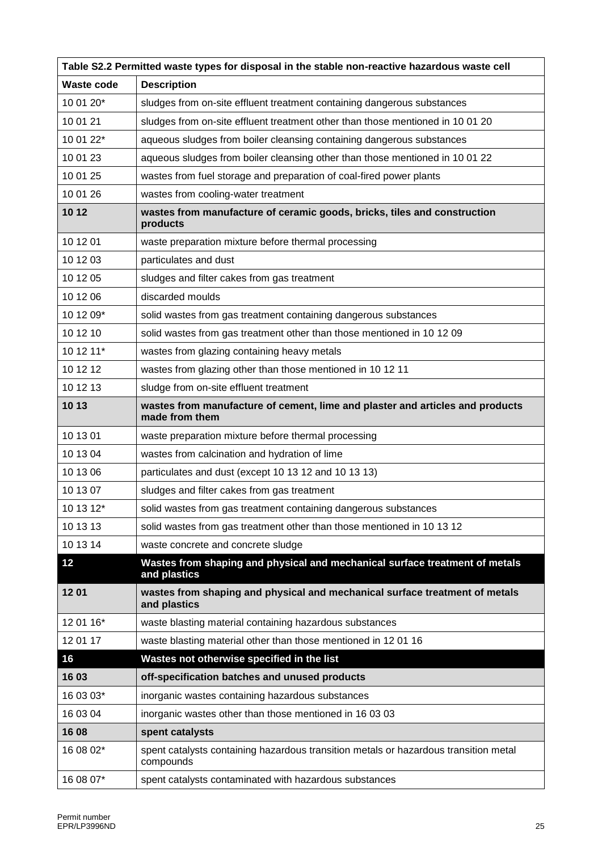| Table S2.2 Permitted waste types for disposal in the stable non-reactive hazardous waste cell |                                                                                                   |  |  |  |  |  |  |
|-----------------------------------------------------------------------------------------------|---------------------------------------------------------------------------------------------------|--|--|--|--|--|--|
| <b>Waste code</b>                                                                             | <b>Description</b>                                                                                |  |  |  |  |  |  |
| 10 01 20*                                                                                     | sludges from on-site effluent treatment containing dangerous substances                           |  |  |  |  |  |  |
| 10 01 21                                                                                      | sludges from on-site effluent treatment other than those mentioned in 10 01 20                    |  |  |  |  |  |  |
| 10 01 22*                                                                                     | aqueous sludges from boiler cleansing containing dangerous substances                             |  |  |  |  |  |  |
| 10 01 23                                                                                      | aqueous sludges from boiler cleansing other than those mentioned in 10 01 22                      |  |  |  |  |  |  |
| 10 01 25                                                                                      | wastes from fuel storage and preparation of coal-fired power plants                               |  |  |  |  |  |  |
| 10 01 26                                                                                      | wastes from cooling-water treatment                                                               |  |  |  |  |  |  |
| 10 12                                                                                         | wastes from manufacture of ceramic goods, bricks, tiles and construction<br>products              |  |  |  |  |  |  |
| 10 12 01                                                                                      | waste preparation mixture before thermal processing                                               |  |  |  |  |  |  |
| 10 12 03                                                                                      | particulates and dust                                                                             |  |  |  |  |  |  |
| 10 12 05                                                                                      | sludges and filter cakes from gas treatment                                                       |  |  |  |  |  |  |
| 10 12 06                                                                                      | discarded moulds                                                                                  |  |  |  |  |  |  |
| 10 12 09*                                                                                     | solid wastes from gas treatment containing dangerous substances                                   |  |  |  |  |  |  |
| 10 12 10                                                                                      | solid wastes from gas treatment other than those mentioned in 10 12 09                            |  |  |  |  |  |  |
| 10 12 11*                                                                                     | wastes from glazing containing heavy metals                                                       |  |  |  |  |  |  |
| 10 12 12                                                                                      | wastes from glazing other than those mentioned in 10 12 11                                        |  |  |  |  |  |  |
| 10 12 13                                                                                      | sludge from on-site effluent treatment                                                            |  |  |  |  |  |  |
| 10 13                                                                                         | wastes from manufacture of cement, lime and plaster and articles and products<br>made from them   |  |  |  |  |  |  |
| 10 13 01                                                                                      | waste preparation mixture before thermal processing                                               |  |  |  |  |  |  |
| 10 13 04                                                                                      | wastes from calcination and hydration of lime                                                     |  |  |  |  |  |  |
| 10 13 06                                                                                      | particulates and dust (except 10 13 12 and 10 13 13)                                              |  |  |  |  |  |  |
| 10 13 07                                                                                      | sludges and filter cakes from gas treatment                                                       |  |  |  |  |  |  |
| 10 13 12*                                                                                     | solid wastes from gas treatment containing dangerous substances                                   |  |  |  |  |  |  |
| 10 13 13                                                                                      | solid wastes from gas treatment other than those mentioned in 10 13 12                            |  |  |  |  |  |  |
| 10 13 14                                                                                      | waste concrete and concrete sludge                                                                |  |  |  |  |  |  |
| 12                                                                                            | Wastes from shaping and physical and mechanical surface treatment of metals<br>and plastics       |  |  |  |  |  |  |
| 1201                                                                                          | wastes from shaping and physical and mechanical surface treatment of metals<br>and plastics       |  |  |  |  |  |  |
| 12 01 16*                                                                                     | waste blasting material containing hazardous substances                                           |  |  |  |  |  |  |
| 12 01 17                                                                                      | waste blasting material other than those mentioned in 12 01 16                                    |  |  |  |  |  |  |
| 16                                                                                            | Wastes not otherwise specified in the list                                                        |  |  |  |  |  |  |
| 16 03                                                                                         | off-specification batches and unused products                                                     |  |  |  |  |  |  |
| 16 03 03*                                                                                     | inorganic wastes containing hazardous substances                                                  |  |  |  |  |  |  |
| 16 03 04                                                                                      | inorganic wastes other than those mentioned in 16 03 03                                           |  |  |  |  |  |  |
| 16 08                                                                                         | spent catalysts                                                                                   |  |  |  |  |  |  |
| 16 08 02*                                                                                     | spent catalysts containing hazardous transition metals or hazardous transition metal<br>compounds |  |  |  |  |  |  |
| 16 08 07*                                                                                     | spent catalysts contaminated with hazardous substances                                            |  |  |  |  |  |  |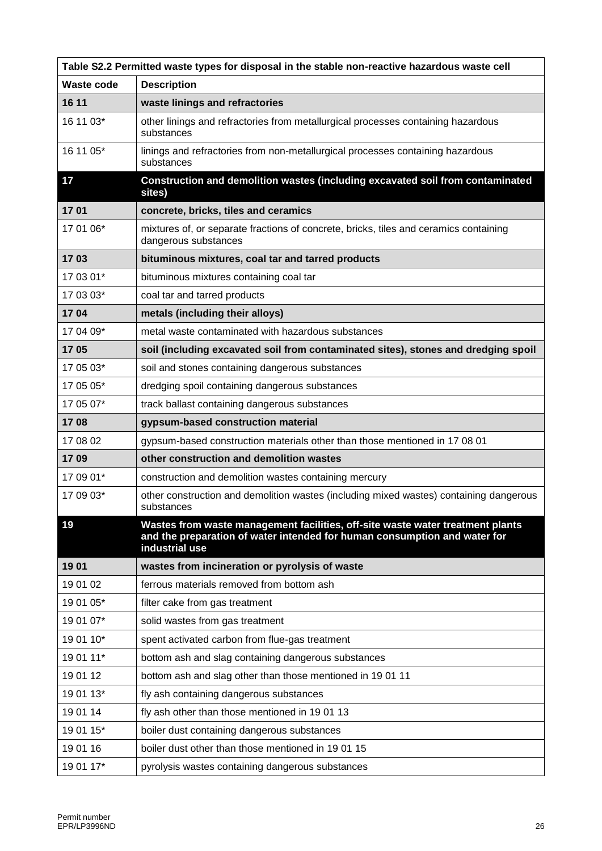| Table S2.2 Permitted waste types for disposal in the stable non-reactive hazardous waste cell |                                                                                                                                                                               |  |  |  |  |  |  |
|-----------------------------------------------------------------------------------------------|-------------------------------------------------------------------------------------------------------------------------------------------------------------------------------|--|--|--|--|--|--|
| Waste code                                                                                    | <b>Description</b>                                                                                                                                                            |  |  |  |  |  |  |
| 16 11                                                                                         | waste linings and refractories                                                                                                                                                |  |  |  |  |  |  |
| 16 11 03*                                                                                     | other linings and refractories from metallurgical processes containing hazardous<br>substances                                                                                |  |  |  |  |  |  |
| 16 11 05*                                                                                     | linings and refractories from non-metallurgical processes containing hazardous<br>substances                                                                                  |  |  |  |  |  |  |
| 17                                                                                            | Construction and demolition wastes (including excavated soil from contaminated<br>sites)                                                                                      |  |  |  |  |  |  |
| 1701                                                                                          | concrete, bricks, tiles and ceramics                                                                                                                                          |  |  |  |  |  |  |
| 17 01 06*                                                                                     | mixtures of, or separate fractions of concrete, bricks, tiles and ceramics containing<br>dangerous substances                                                                 |  |  |  |  |  |  |
| 1703                                                                                          | bituminous mixtures, coal tar and tarred products                                                                                                                             |  |  |  |  |  |  |
| 17 03 01*                                                                                     | bituminous mixtures containing coal tar                                                                                                                                       |  |  |  |  |  |  |
| 17 03 03*                                                                                     | coal tar and tarred products                                                                                                                                                  |  |  |  |  |  |  |
| 1704                                                                                          | metals (including their alloys)                                                                                                                                               |  |  |  |  |  |  |
| 17 04 09*                                                                                     | metal waste contaminated with hazardous substances                                                                                                                            |  |  |  |  |  |  |
| 1705                                                                                          | soil (including excavated soil from contaminated sites), stones and dredging spoil                                                                                            |  |  |  |  |  |  |
| 17 05 03*                                                                                     | soil and stones containing dangerous substances                                                                                                                               |  |  |  |  |  |  |
| 17 05 05*                                                                                     | dredging spoil containing dangerous substances                                                                                                                                |  |  |  |  |  |  |
| 17 05 07*                                                                                     | track ballast containing dangerous substances                                                                                                                                 |  |  |  |  |  |  |
| 1708                                                                                          | gypsum-based construction material                                                                                                                                            |  |  |  |  |  |  |
| 17 08 02                                                                                      | gypsum-based construction materials other than those mentioned in 17 08 01                                                                                                    |  |  |  |  |  |  |
| 1709                                                                                          | other construction and demolition wastes                                                                                                                                      |  |  |  |  |  |  |
| 17 09 01*                                                                                     | construction and demolition wastes containing mercury                                                                                                                         |  |  |  |  |  |  |
| 17 09 03*                                                                                     | other construction and demolition wastes (including mixed wastes) containing dangerous<br>substances                                                                          |  |  |  |  |  |  |
| 19                                                                                            | Wastes from waste management facilities, off-site waste water treatment plants<br>and the preparation of water intended for human consumption and water for<br>industrial use |  |  |  |  |  |  |
| 1901                                                                                          | wastes from incineration or pyrolysis of waste                                                                                                                                |  |  |  |  |  |  |
| 19 01 02                                                                                      | ferrous materials removed from bottom ash                                                                                                                                     |  |  |  |  |  |  |
| 19 01 05*                                                                                     | filter cake from gas treatment                                                                                                                                                |  |  |  |  |  |  |
| 19 01 07*                                                                                     | solid wastes from gas treatment                                                                                                                                               |  |  |  |  |  |  |
| 19 01 10*                                                                                     | spent activated carbon from flue-gas treatment                                                                                                                                |  |  |  |  |  |  |
| 19 01 11*                                                                                     | bottom ash and slag containing dangerous substances                                                                                                                           |  |  |  |  |  |  |
| 19 01 12                                                                                      | bottom ash and slag other than those mentioned in 19 01 11                                                                                                                    |  |  |  |  |  |  |
| 19 01 13*                                                                                     | fly ash containing dangerous substances                                                                                                                                       |  |  |  |  |  |  |
| 19 01 14                                                                                      | fly ash other than those mentioned in 1901 13                                                                                                                                 |  |  |  |  |  |  |
| 19 01 15*                                                                                     | boiler dust containing dangerous substances                                                                                                                                   |  |  |  |  |  |  |
| 19 01 16                                                                                      | boiler dust other than those mentioned in 19 01 15                                                                                                                            |  |  |  |  |  |  |
| 19 01 17*                                                                                     | pyrolysis wastes containing dangerous substances                                                                                                                              |  |  |  |  |  |  |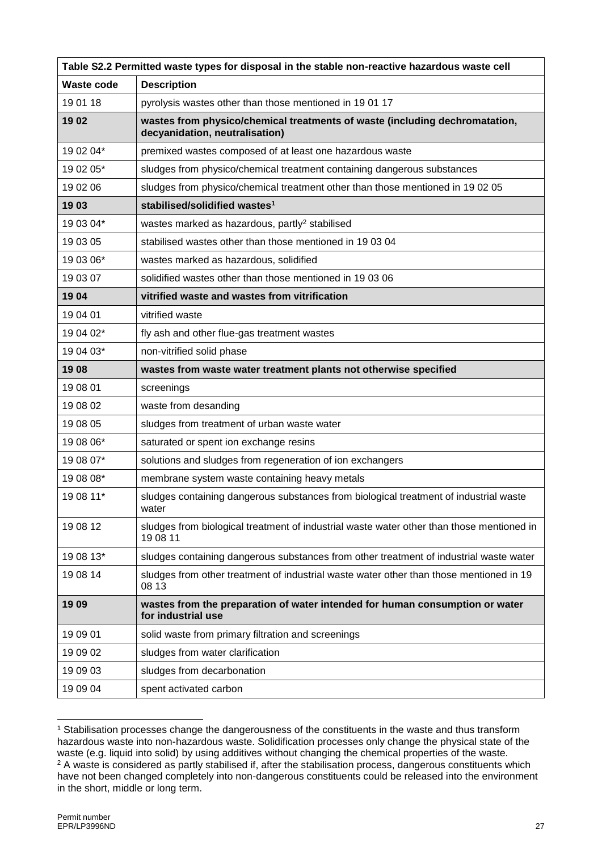| Table S2.2 Permitted waste types for disposal in the stable non-reactive hazardous waste cell |                                                                                                               |  |  |  |  |  |
|-----------------------------------------------------------------------------------------------|---------------------------------------------------------------------------------------------------------------|--|--|--|--|--|
| <b>Waste code</b>                                                                             | <b>Description</b>                                                                                            |  |  |  |  |  |
| 19 01 18                                                                                      | pyrolysis wastes other than those mentioned in 19 01 17                                                       |  |  |  |  |  |
| 1902                                                                                          | wastes from physico/chemical treatments of waste (including dechromatation,<br>decyanidation, neutralisation) |  |  |  |  |  |
| 19 02 04*                                                                                     | premixed wastes composed of at least one hazardous waste                                                      |  |  |  |  |  |
| 19 02 05*                                                                                     | sludges from physico/chemical treatment containing dangerous substances                                       |  |  |  |  |  |
| 19 02 06                                                                                      | sludges from physico/chemical treatment other than those mentioned in 19 02 05                                |  |  |  |  |  |
| 1903                                                                                          | stabilised/solidified wastes <sup>1</sup>                                                                     |  |  |  |  |  |
| 19 03 04*                                                                                     | wastes marked as hazardous, partly <sup>2</sup> stabilised                                                    |  |  |  |  |  |
| 19 03 05                                                                                      | stabilised wastes other than those mentioned in 19 03 04                                                      |  |  |  |  |  |
| 19 03 06*                                                                                     | wastes marked as hazardous, solidified                                                                        |  |  |  |  |  |
| 19 03 07                                                                                      | solidified wastes other than those mentioned in 19 03 06                                                      |  |  |  |  |  |
| 1904                                                                                          | vitrified waste and wastes from vitrification                                                                 |  |  |  |  |  |
| 19 04 01                                                                                      | vitrified waste                                                                                               |  |  |  |  |  |
| 19 04 02*                                                                                     | fly ash and other flue-gas treatment wastes                                                                   |  |  |  |  |  |
| 19 04 03*                                                                                     | non-vitrified solid phase                                                                                     |  |  |  |  |  |
| 1908                                                                                          | wastes from waste water treatment plants not otherwise specified                                              |  |  |  |  |  |
| 19 08 01                                                                                      | screenings                                                                                                    |  |  |  |  |  |
| 19 08 02                                                                                      | waste from desanding                                                                                          |  |  |  |  |  |
| 19 08 05                                                                                      | sludges from treatment of urban waste water                                                                   |  |  |  |  |  |
| 19 08 06*                                                                                     | saturated or spent ion exchange resins                                                                        |  |  |  |  |  |
| 19 08 07*                                                                                     | solutions and sludges from regeneration of ion exchangers                                                     |  |  |  |  |  |
| 19 08 08*                                                                                     | membrane system waste containing heavy metals                                                                 |  |  |  |  |  |
| 19 08 11*                                                                                     | sludges containing dangerous substances from biological treatment of industrial waste<br>water                |  |  |  |  |  |
| 19 08 12                                                                                      | sludges from biological treatment of industrial waste water other than those mentioned in<br>19 08 11         |  |  |  |  |  |
| 19 08 13*                                                                                     | sludges containing dangerous substances from other treatment of industrial waste water                        |  |  |  |  |  |
| 19 08 14                                                                                      | sludges from other treatment of industrial waste water other than those mentioned in 19<br>08 13              |  |  |  |  |  |
| 1909                                                                                          | wastes from the preparation of water intended for human consumption or water<br>for industrial use            |  |  |  |  |  |
| 19 09 01                                                                                      | solid waste from primary filtration and screenings                                                            |  |  |  |  |  |
| 19 09 02                                                                                      | sludges from water clarification                                                                              |  |  |  |  |  |
| 19 09 03                                                                                      | sludges from decarbonation                                                                                    |  |  |  |  |  |
| 19 09 04                                                                                      | spent activated carbon                                                                                        |  |  |  |  |  |

<sup>1</sup> <sup>1</sup> Stabilisation processes change the dangerousness of the constituents in the waste and thus transform hazardous waste into non-hazardous waste. Solidification processes only change the physical state of the waste (e.g. liquid into solid) by using additives without changing the chemical properties of the waste. <sup>2</sup> A waste is considered as partly stabilised if, after the stabilisation process, dangerous constituents which have not been changed completely into non-dangerous constituents could be released into the environment in the short, middle or long term.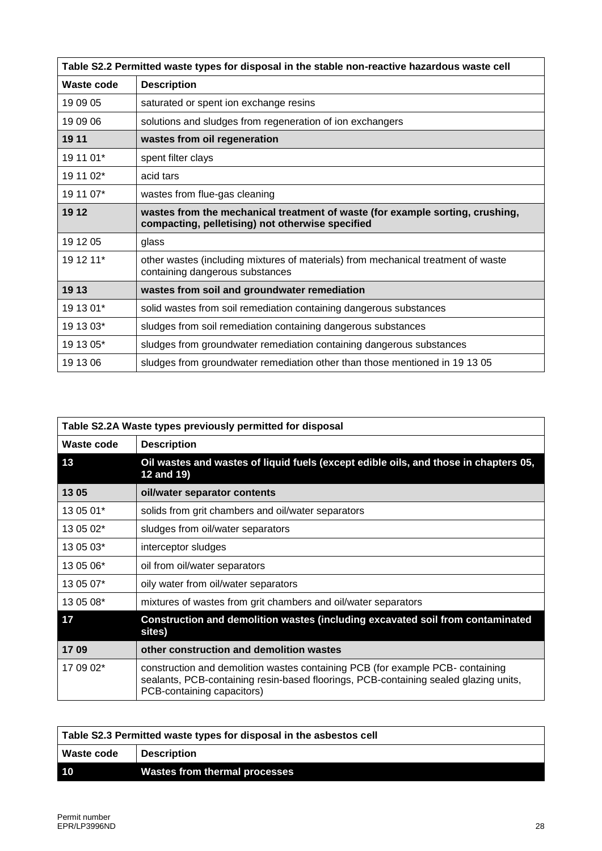| Table S2.2 Permitted waste types for disposal in the stable non-reactive hazardous waste cell |                                                                                                                                   |  |  |  |  |  |
|-----------------------------------------------------------------------------------------------|-----------------------------------------------------------------------------------------------------------------------------------|--|--|--|--|--|
| Waste code                                                                                    | <b>Description</b>                                                                                                                |  |  |  |  |  |
| 19 09 05                                                                                      | saturated or spent ion exchange resins                                                                                            |  |  |  |  |  |
| 19 09 06                                                                                      | solutions and sludges from regeneration of ion exchangers                                                                         |  |  |  |  |  |
| 19 11                                                                                         | wastes from oil regeneration                                                                                                      |  |  |  |  |  |
| 19 11 01*                                                                                     | spent filter clays                                                                                                                |  |  |  |  |  |
| 19 11 02*                                                                                     | acid tars                                                                                                                         |  |  |  |  |  |
| 19 11 07*                                                                                     | wastes from flue-gas cleaning                                                                                                     |  |  |  |  |  |
| 19 12                                                                                         | wastes from the mechanical treatment of waste (for example sorting, crushing,<br>compacting, pelletising) not otherwise specified |  |  |  |  |  |
| 19 12 05                                                                                      | glass                                                                                                                             |  |  |  |  |  |
| 19 12 11*                                                                                     | other wastes (including mixtures of materials) from mechanical treatment of waste<br>containing dangerous substances              |  |  |  |  |  |
| 19 13                                                                                         | wastes from soil and groundwater remediation                                                                                      |  |  |  |  |  |
| 19 13 01*                                                                                     | solid wastes from soil remediation containing dangerous substances                                                                |  |  |  |  |  |
| 19 13 03*                                                                                     | sludges from soil remediation containing dangerous substances                                                                     |  |  |  |  |  |
| 19 13 05*                                                                                     | sludges from groundwater remediation containing dangerous substances                                                              |  |  |  |  |  |
| 19 13 06                                                                                      | sludges from groundwater remediation other than those mentioned in 19 13 05                                                       |  |  |  |  |  |

| Table S2.2A Waste types previously permitted for disposal |                                                                                                                                                                                                      |  |  |  |  |  |
|-----------------------------------------------------------|------------------------------------------------------------------------------------------------------------------------------------------------------------------------------------------------------|--|--|--|--|--|
| Waste code                                                | <b>Description</b>                                                                                                                                                                                   |  |  |  |  |  |
| 13                                                        | Oil wastes and wastes of liquid fuels (except edible oils, and those in chapters 05,<br>12 and 19)                                                                                                   |  |  |  |  |  |
| 13 05                                                     | oil/water separator contents                                                                                                                                                                         |  |  |  |  |  |
| 13 05 01*                                                 | solids from grit chambers and oil/water separators                                                                                                                                                   |  |  |  |  |  |
| 13 05 02*                                                 | sludges from oil/water separators                                                                                                                                                                    |  |  |  |  |  |
| 13 05 03*                                                 | interceptor sludges                                                                                                                                                                                  |  |  |  |  |  |
| 13 05 06*                                                 | oil from oil/water separators                                                                                                                                                                        |  |  |  |  |  |
| 13 05 07*                                                 | oily water from oil/water separators                                                                                                                                                                 |  |  |  |  |  |
| 13 05 08*                                                 | mixtures of wastes from grit chambers and oil/water separators                                                                                                                                       |  |  |  |  |  |
| 17                                                        | Construction and demolition wastes (including excavated soil from contaminated<br>sites)                                                                                                             |  |  |  |  |  |
| 1709                                                      | other construction and demolition wastes                                                                                                                                                             |  |  |  |  |  |
| 17 09 02*                                                 | construction and demolition wastes containing PCB (for example PCB- containing<br>sealants, PCB-containing resin-based floorings, PCB-containing sealed glazing units,<br>PCB-containing capacitors) |  |  |  |  |  |

| Table S2.3 Permitted waste types for disposal in the asbestos cell |                                      |  |  |
|--------------------------------------------------------------------|--------------------------------------|--|--|
| Waste code                                                         | <b>Description</b>                   |  |  |
| <b>10</b>                                                          | <b>Wastes from thermal processes</b> |  |  |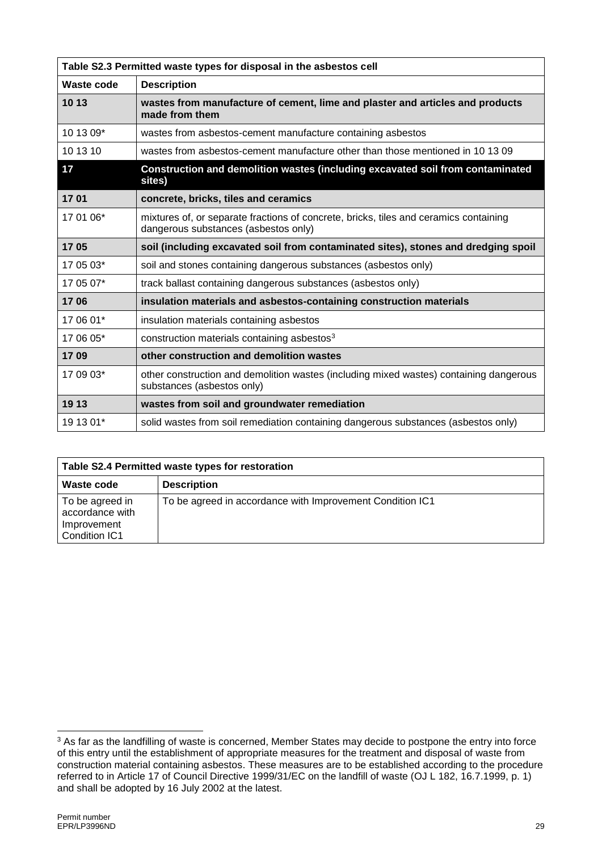| Table S2.3 Permitted waste types for disposal in the asbestos cell |                                                                                                                               |  |  |  |  |  |
|--------------------------------------------------------------------|-------------------------------------------------------------------------------------------------------------------------------|--|--|--|--|--|
| Waste code                                                         | <b>Description</b>                                                                                                            |  |  |  |  |  |
| 10 13                                                              | wastes from manufacture of cement, lime and plaster and articles and products<br>made from them                               |  |  |  |  |  |
| 10 13 09*                                                          | wastes from asbestos-cement manufacture containing asbestos                                                                   |  |  |  |  |  |
| 10 13 10                                                           | wastes from asbestos-cement manufacture other than those mentioned in 10 13 09                                                |  |  |  |  |  |
| 17                                                                 | Construction and demolition wastes (including excavated soil from contaminated<br>sites)                                      |  |  |  |  |  |
| 1701                                                               | concrete, bricks, tiles and ceramics                                                                                          |  |  |  |  |  |
| 17 01 06*                                                          | mixtures of, or separate fractions of concrete, bricks, tiles and ceramics containing<br>dangerous substances (asbestos only) |  |  |  |  |  |
| 1705                                                               | soil (including excavated soil from contaminated sites), stones and dredging spoil                                            |  |  |  |  |  |
| 17 05 03*                                                          | soil and stones containing dangerous substances (asbestos only)                                                               |  |  |  |  |  |
| 17 05 07*                                                          | track ballast containing dangerous substances (asbestos only)                                                                 |  |  |  |  |  |
| 1706                                                               | insulation materials and asbestos-containing construction materials                                                           |  |  |  |  |  |
| 17 06 01*                                                          | insulation materials containing asbestos                                                                                      |  |  |  |  |  |
| 17 06 05*                                                          | construction materials containing asbestos <sup>3</sup>                                                                       |  |  |  |  |  |
| 1709                                                               | other construction and demolition wastes                                                                                      |  |  |  |  |  |
| 17 09 03*                                                          | other construction and demolition wastes (including mixed wastes) containing dangerous<br>substances (asbestos only)          |  |  |  |  |  |
| 19 13                                                              | wastes from soil and groundwater remediation                                                                                  |  |  |  |  |  |
| 19 13 01*                                                          | solid wastes from soil remediation containing dangerous substances (asbestos only)                                            |  |  |  |  |  |

| Table S2.4 Permitted waste types for restoration                   |                                                           |  |  |
|--------------------------------------------------------------------|-----------------------------------------------------------|--|--|
| Waste code                                                         | <b>Description</b>                                        |  |  |
| To be agreed in<br>accordance with<br>Improvement<br>Condition IC1 | To be agreed in accordance with Improvement Condition IC1 |  |  |

<sup>1</sup> <sup>3</sup> As far as the landfilling of waste is concerned, Member States may decide to postpone the entry into force of this entry until the establishment of appropriate measures for the treatment and disposal of waste from construction material containing asbestos. These measures are to be established according to the procedure referred to in Article 17 of Council Directive 1999/31/EC on the landfill of waste (OJ L 182, 16.7.1999, p. 1) and shall be adopted by 16 July 2002 at the latest.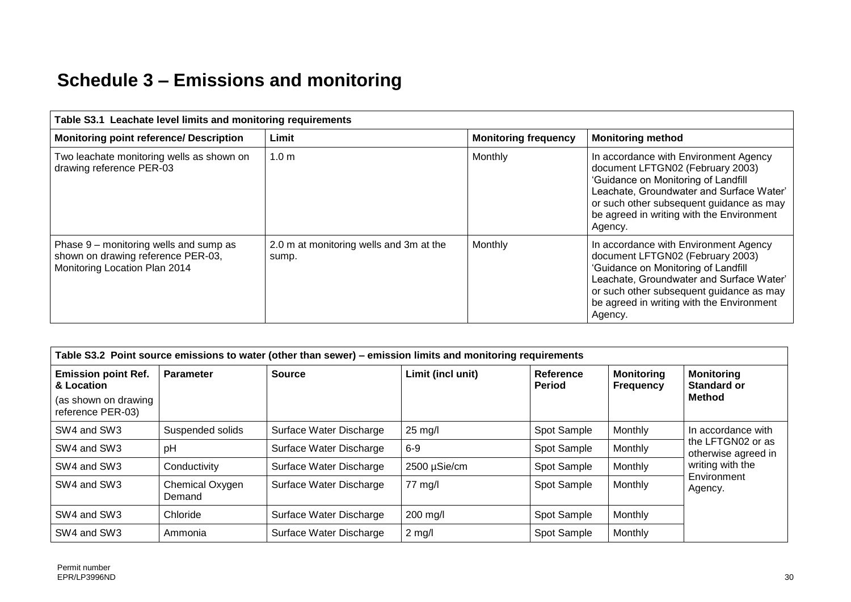# **Schedule 3 – Emissions and monitoring**

| Table S3.1 Leachate level limits and monitoring requirements                                                  |                                                  |         |                                                                                                                                                                                                                                                                  |  |  |
|---------------------------------------------------------------------------------------------------------------|--------------------------------------------------|---------|------------------------------------------------------------------------------------------------------------------------------------------------------------------------------------------------------------------------------------------------------------------|--|--|
| <b>Monitoring point reference/ Description</b>                                                                | <b>Monitoring frequency</b><br>Limit             |         | <b>Monitoring method</b>                                                                                                                                                                                                                                         |  |  |
| Two leachate monitoring wells as shown on<br>drawing reference PER-03                                         | 1.0 <sub>m</sub>                                 | Monthly | In accordance with Environment Agency<br>document LFTGN02 (February 2003)<br>'Guidance on Monitoring of Landfill<br>Leachate, Groundwater and Surface Water'<br>or such other subsequent guidance as may<br>be agreed in writing with the Environment<br>Agency. |  |  |
| Phase 9 – monitoring wells and sump as<br>shown on drawing reference PER-03,<br>Monitoring Location Plan 2014 | 2.0 m at monitoring wells and 3m at the<br>sump. | Monthly | In accordance with Environment Agency<br>document LFTGN02 (February 2003)<br>'Guidance on Monitoring of Landfill<br>Leachate, Groundwater and Surface Water'<br>or such other subsequent guidance as may<br>be agreed in writing with the Environment<br>Agency. |  |  |

| Table S3.2 Point source emissions to water (other than sewer) – emission limits and monitoring requirements |                           |                         |                   |                            |                                       |                                                                                        |
|-------------------------------------------------------------------------------------------------------------|---------------------------|-------------------------|-------------------|----------------------------|---------------------------------------|----------------------------------------------------------------------------------------|
| <b>Emission point Ref.</b><br>& Location                                                                    | <b>Parameter</b>          | <b>Source</b>           | Limit (incl unit) | Reference<br><b>Period</b> | <b>Monitoring</b><br><b>Frequency</b> | <b>Monitoring</b><br><b>Standard or</b>                                                |
| (as shown on drawing<br>reference PER-03)                                                                   |                           |                         |                   |                            |                                       | <b>Method</b>                                                                          |
| SW4 and SW3                                                                                                 | Suspended solids          | Surface Water Discharge | $25$ mg/l         | Spot Sample                | Monthly                               | In accordance with                                                                     |
| SW4 and SW3                                                                                                 | pH                        | Surface Water Discharge | $6-9$             | Spot Sample                | Monthly                               | the LFTGN02 or as<br>otherwise agreed in<br>writing with the<br>Environment<br>Agency. |
| SW4 and SW3                                                                                                 | Conductivity              | Surface Water Discharge | 2500 µSie/cm      | Spot Sample                | Monthly                               |                                                                                        |
| SW4 and SW3                                                                                                 | Chemical Oxygen<br>Demand | Surface Water Discharge | 77 mg/l           | Spot Sample                | Monthly                               |                                                                                        |
| SW4 and SW3                                                                                                 | Chloride                  | Surface Water Discharge | 200 mg/l          | Spot Sample                | Monthly                               |                                                                                        |
| SW4 and SW3                                                                                                 | Ammonia                   | Surface Water Discharge | $2$ mg/l          | Spot Sample                | Monthly                               |                                                                                        |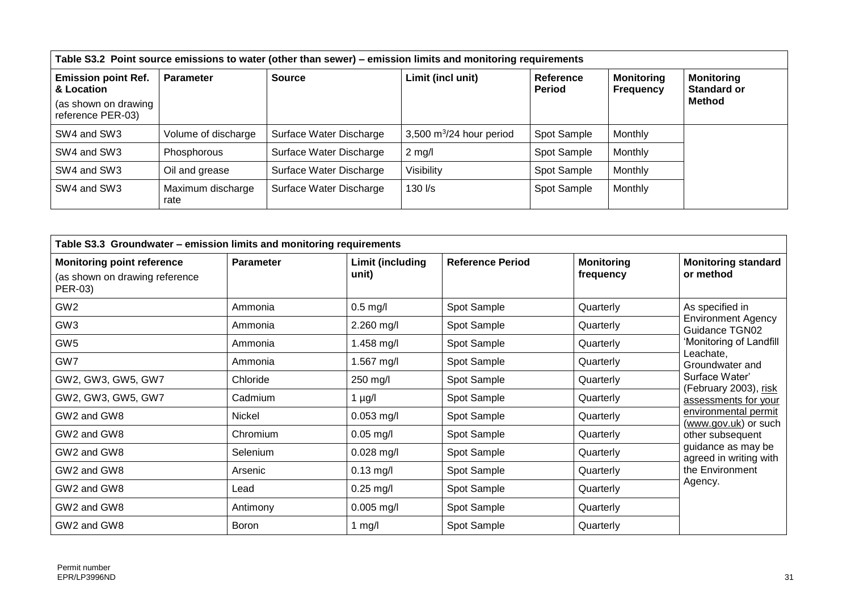| Table S3.2 Point source emissions to water (other than sewer) – emission limits and monitoring requirements |                           |                         |                            |                            |                                       |                                         |  |  |
|-------------------------------------------------------------------------------------------------------------|---------------------------|-------------------------|----------------------------|----------------------------|---------------------------------------|-----------------------------------------|--|--|
| <b>Emission point Ref.</b><br>& Location                                                                    | <b>Parameter</b>          | <b>Source</b>           | Limit (incl unit)          | Reference<br><b>Period</b> | <b>Monitoring</b><br><b>Frequency</b> | <b>Monitoring</b><br><b>Standard or</b> |  |  |
| (as shown on drawing<br>reference PER-03)                                                                   |                           |                         |                            |                            |                                       | Method                                  |  |  |
| SW4 and SW3                                                                                                 | Volume of discharge       | Surface Water Discharge | 3,500 $m^3/24$ hour period | Spot Sample                | Monthly                               |                                         |  |  |
| SW4 and SW3                                                                                                 | Phosphorous               | Surface Water Discharge | $2$ mg/l                   | Spot Sample                | Monthly                               |                                         |  |  |
| SW4 and SW3                                                                                                 | Oil and grease            | Surface Water Discharge | Visibility                 | Spot Sample                | Monthly                               |                                         |  |  |
| SW4 and SW3                                                                                                 | Maximum discharge<br>rate | Surface Water Discharge | $130$ $\text{Vs}$          | Spot Sample                | Monthly                               |                                         |  |  |

| Table S3.3 Groundwater - emission limits and monitoring requirements           |                  |                           |                         |                                |                                              |  |  |
|--------------------------------------------------------------------------------|------------------|---------------------------|-------------------------|--------------------------------|----------------------------------------------|--|--|
| <b>Monitoring point reference</b><br>(as shown on drawing reference<br>PER-03) | <b>Parameter</b> | Limit (including<br>unit) | <b>Reference Period</b> | <b>Monitoring</b><br>frequency | <b>Monitoring standard</b><br>or method      |  |  |
| GW <sub>2</sub>                                                                | Ammonia          | $0.5$ mg/l                | Spot Sample             | Quarterly                      | As specified in                              |  |  |
| GW <sub>3</sub>                                                                | Ammonia          | $2.260$ mg/l              | Spot Sample             | Quarterly                      | <b>Environment Agency</b><br>Guidance TGN02  |  |  |
| GW <sub>5</sub>                                                                | Ammonia          | 1.458 mg/l                | Spot Sample             | Quarterly                      | 'Monitoring of Landfill                      |  |  |
| GW7                                                                            | Ammonia          | 1.567 mg/l                | Spot Sample             | Quarterly                      | Leachate,<br>Groundwater and                 |  |  |
| GW2, GW3, GW5, GW7                                                             | Chloride         | 250 mg/l                  | Spot Sample             | Quarterly                      | Surface Water'<br>(February 2003), risk      |  |  |
| GW2, GW3, GW5, GW7                                                             | Cadmium          | 1 $\mu$ g/l               | Spot Sample             | Quarterly                      | assessments for your                         |  |  |
| GW2 and GW8                                                                    | Nickel           | $0.053$ mg/l              | Spot Sample             | Quarterly                      | environmental permit<br>(www.gov.uk) or such |  |  |
| GW2 and GW8                                                                    | Chromium         | $0.05$ mg/l               | Spot Sample             | Quarterly                      | other subsequent                             |  |  |
| GW2 and GW8                                                                    | Selenium         | $0.028$ mg/l              | Spot Sample             | Quarterly                      | guidance as may be<br>agreed in writing with |  |  |
| GW2 and GW8                                                                    | Arsenic          | $0.13$ mg/l               | Spot Sample             | Quarterly                      | the Environment                              |  |  |
| GW2 and GW8                                                                    | Lead             | $0.25$ mg/l               | Spot Sample             | Quarterly                      | Agency.                                      |  |  |
| GW2 and GW8                                                                    | Antimony         | $0.005$ mg/l              | Spot Sample             | Quarterly                      |                                              |  |  |
| GW2 and GW8                                                                    | <b>Boron</b>     | 1 mg/l                    | Spot Sample             | Quarterly                      |                                              |  |  |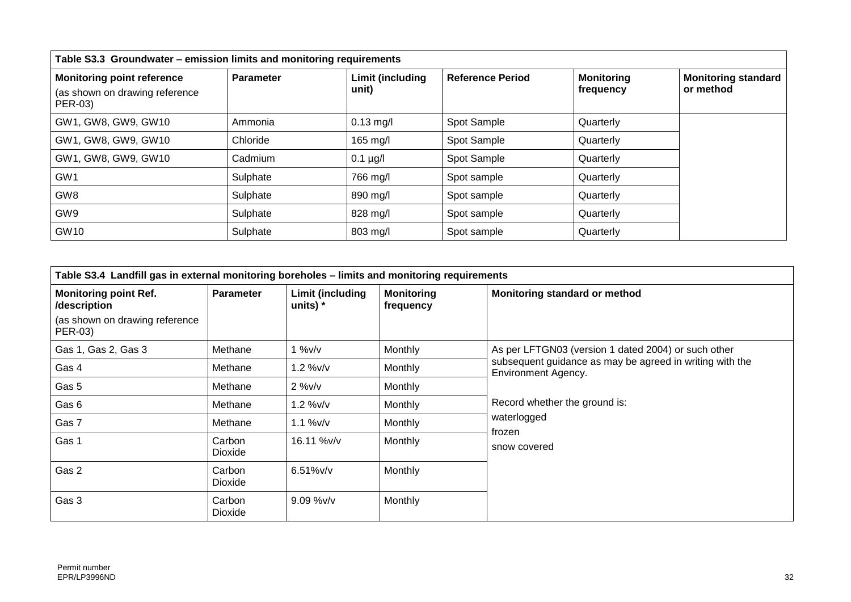| Table S3.3 Groundwater - emission limits and monitoring requirements |                  |                         |                         |                   |                                         |  |  |
|----------------------------------------------------------------------|------------------|-------------------------|-------------------------|-------------------|-----------------------------------------|--|--|
| <b>Monitoring point reference</b>                                    | <b>Parameter</b> | <b>Limit (including</b> | <b>Reference Period</b> | <b>Monitoring</b> | <b>Monitoring standard</b><br>or method |  |  |
| (as shown on drawing reference<br>PER-03)                            |                  | unit)                   |                         | frequency         |                                         |  |  |
| GW1, GW8, GW9, GW10                                                  | Ammonia          | $0.13$ mg/l             | Spot Sample             | Quarterly         |                                         |  |  |
| GW1, GW8, GW9, GW10                                                  | Chloride         | 165 mg/l                | Spot Sample             | Quarterly         |                                         |  |  |
| GW1, GW8, GW9, GW10                                                  | Cadmium          | $0.1 \mu g/l$           | Spot Sample             | Quarterly         |                                         |  |  |
| GW <sub>1</sub>                                                      | Sulphate         | 766 mg/l                | Spot sample             | Quarterly         |                                         |  |  |
| GW <sub>8</sub>                                                      | Sulphate         | 890 mg/l                | Spot sample             | Quarterly         |                                         |  |  |
| GW <sub>9</sub>                                                      | Sulphate         | 828 mg/l                | Spot sample             | Quarterly         |                                         |  |  |
| GW10                                                                 | Sulphate         | 803 mg/l                | Spot sample             | Quarterly         |                                         |  |  |

| Table S3.4 Landfill gas in external monitoring boreholes - limits and monitoring requirements |                   |                                |                                |                                                                                        |  |  |
|-----------------------------------------------------------------------------------------------|-------------------|--------------------------------|--------------------------------|----------------------------------------------------------------------------------------|--|--|
| <b>Monitoring point Ref.</b><br>/description                                                  | <b>Parameter</b>  | Limit (including<br>units) $*$ | <b>Monitoring</b><br>frequency | Monitoring standard or method                                                          |  |  |
| (as shown on drawing reference<br>PER-03)                                                     |                   |                                |                                |                                                                                        |  |  |
| Gas 1, Gas 2, Gas 3                                                                           | Methane           | $1\%v/v$                       | Monthly                        | As per LFTGN03 (version 1 dated 2004) or such other                                    |  |  |
| Gas 4                                                                                         | Methane           | 1.2 %v/v                       | Monthly                        | subsequent guidance as may be agreed in writing with the<br><b>Environment Agency.</b> |  |  |
| Gas 5                                                                                         | Methane           | $2\%v/v$                       | Monthly                        |                                                                                        |  |  |
| Gas 6                                                                                         | Methane           | 1.2 %v/v                       | Monthly                        | Record whether the ground is:                                                          |  |  |
| Gas 7                                                                                         | Methane           | $1.1\%$ v/v                    | Monthly                        | waterlogged                                                                            |  |  |
| Gas 1                                                                                         | Carbon<br>Dioxide | 16.11 %v/v                     | Monthly                        | frozen<br>snow covered                                                                 |  |  |
| Gas 2                                                                                         | Carbon<br>Dioxide | $6.51%$ v/v                    | Monthly                        |                                                                                        |  |  |
| Gas 3                                                                                         | Carbon<br>Dioxide | $9.09\%$ v/v                   | Monthly                        |                                                                                        |  |  |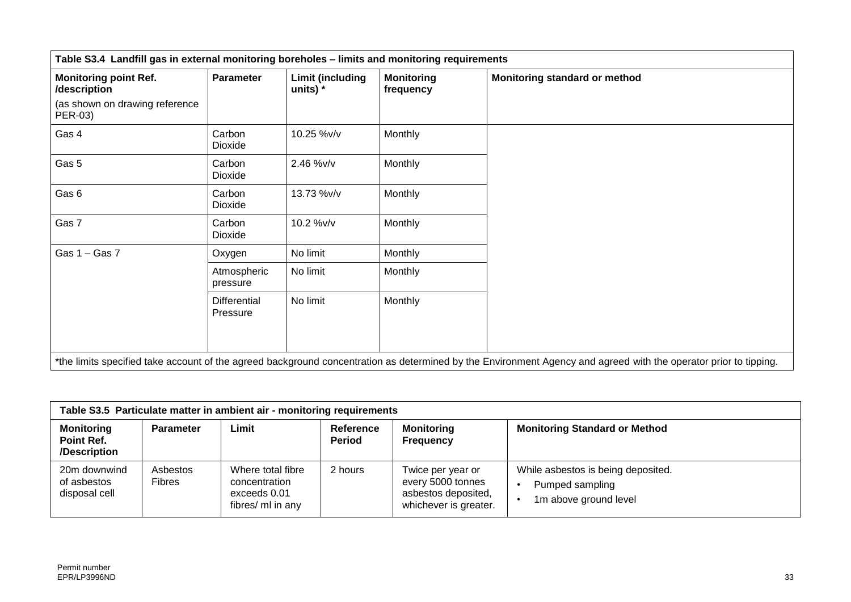| Table S3.4 Landfill gas in external monitoring boreholes - limits and monitoring requirements |                          |                                     |                                |                                                                                                                                                                  |  |
|-----------------------------------------------------------------------------------------------|--------------------------|-------------------------------------|--------------------------------|------------------------------------------------------------------------------------------------------------------------------------------------------------------|--|
| <b>Monitoring point Ref.</b><br>/description                                                  | Parameter                | <b>Limit (including</b><br>units) * | <b>Monitoring</b><br>frequency | Monitoring standard or method                                                                                                                                    |  |
| (as shown on drawing reference<br>PER-03)                                                     |                          |                                     |                                |                                                                                                                                                                  |  |
| Gas 4                                                                                         | Carbon<br>Dioxide        | 10.25 %v/v                          | Monthly                        |                                                                                                                                                                  |  |
| Gas 5                                                                                         | Carbon<br>Dioxide        | 2.46 %v/v                           | Monthly                        |                                                                                                                                                                  |  |
| Gas 6                                                                                         | Carbon<br>Dioxide        | 13.73 %v/v                          | Monthly                        |                                                                                                                                                                  |  |
| Gas 7                                                                                         | Carbon<br>Dioxide        | 10.2 %v/v                           | Monthly                        |                                                                                                                                                                  |  |
| Gas $1 -$ Gas $7$                                                                             | Oxygen                   | No limit                            | <b>Monthly</b>                 |                                                                                                                                                                  |  |
|                                                                                               | Atmospheric<br>pressure  | No limit                            | Monthly                        |                                                                                                                                                                  |  |
|                                                                                               | Differential<br>Pressure | No limit                            | Monthly                        |                                                                                                                                                                  |  |
|                                                                                               |                          |                                     |                                | *the limits specified take account of the agreed background concentration as determined by the Environment Agency and agreed with the operator prior to tipping. |  |

| Table S3.5 Particulate matter in ambient air - monitoring requirements |                           |                                                                         |                            |                                                                                        |                                                                                |  |  |
|------------------------------------------------------------------------|---------------------------|-------------------------------------------------------------------------|----------------------------|----------------------------------------------------------------------------------------|--------------------------------------------------------------------------------|--|--|
| <b>Monitoring</b><br>Point Ref.<br>/Description                        | <b>Parameter</b>          | Limit                                                                   | Reference<br><b>Period</b> | <b>Monitoring</b><br><b>Frequency</b>                                                  | <b>Monitoring Standard or Method</b>                                           |  |  |
| 20m downwind<br>of asbestos<br>disposal cell                           | Asbestos<br><b>Fibres</b> | Where total fibre<br>concentration<br>exceeds 0.01<br>fibres/ ml in any | 2 hours                    | Twice per year or<br>every 5000 tonnes<br>asbestos deposited,<br>whichever is greater. | While asbestos is being deposited.<br>Pumped sampling<br>1m above ground level |  |  |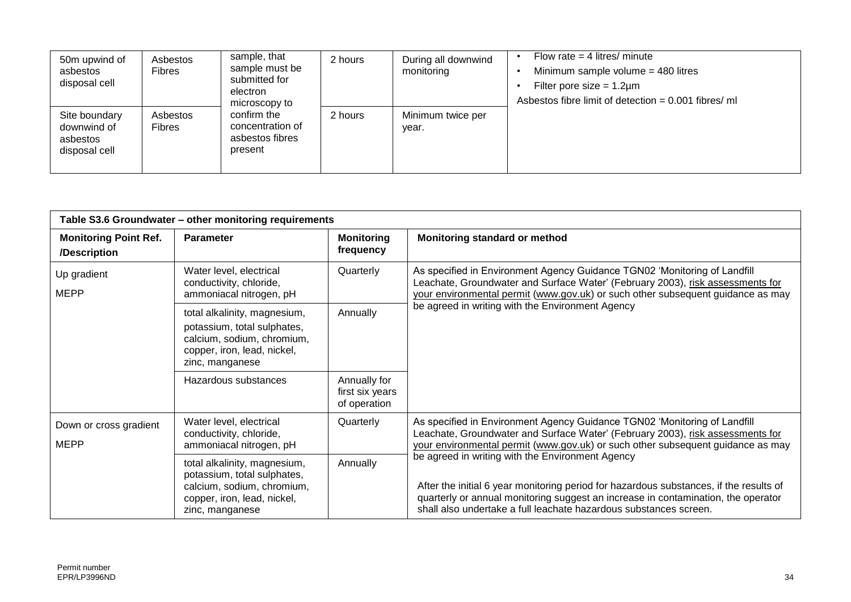| 50m upwind of<br>asbestos<br>disposal cell                | Asbestos<br><b>Fibres</b> | sample, that<br>sample must be<br>submitted for<br>electron<br>microscopy to | 2 hours | During all downwind<br>monitoring | Flow rate $=$ 4 litres/ minute<br>Minimum sample volume $=$ 480 litres<br>Filter pore size = $1.2 \mu m$<br>Asbestos fibre limit of detection = 0.001 fibres/ ml |
|-----------------------------------------------------------|---------------------------|------------------------------------------------------------------------------|---------|-----------------------------------|------------------------------------------------------------------------------------------------------------------------------------------------------------------|
| Site boundary<br>downwind of<br>asbestos<br>disposal cell | Asbestos<br><b>Fibres</b> | confirm the<br>concentration of<br>asbestos fibres<br>present                | 2 hours | Minimum twice per<br>year.        |                                                                                                                                                                  |

|                                              | Table S3.6 Groundwater - other monitoring requirements                                                                                                  |                                                 |                                                                                                                                                                                                                                                                                                      |  |  |  |  |
|----------------------------------------------|---------------------------------------------------------------------------------------------------------------------------------------------------------|-------------------------------------------------|------------------------------------------------------------------------------------------------------------------------------------------------------------------------------------------------------------------------------------------------------------------------------------------------------|--|--|--|--|
| <b>Monitoring Point Ref.</b><br>/Description | <b>Parameter</b>                                                                                                                                        | <b>Monitoring</b><br>frequency                  | Monitoring standard or method                                                                                                                                                                                                                                                                        |  |  |  |  |
| Up gradient<br><b>MEPP</b>                   | Water level, electrical<br>conductivity, chloride,<br>ammoniacal nitrogen, pH                                                                           | Quarterly                                       | As specified in Environment Agency Guidance TGN02 'Monitoring of Landfill<br>Leachate, Groundwater and Surface Water' (February 2003), risk assessments for<br>your environmental permit (www.gov.uk) or such other subsequent guidance as may                                                       |  |  |  |  |
|                                              | Annually<br>total alkalinity, magnesium,<br>potassium, total sulphates,<br>calcium, sodium, chromium,<br>copper, iron, lead, nickel,<br>zinc, manganese |                                                 | be agreed in writing with the Environment Agency                                                                                                                                                                                                                                                     |  |  |  |  |
|                                              | Hazardous substances                                                                                                                                    | Annually for<br>first six years<br>of operation |                                                                                                                                                                                                                                                                                                      |  |  |  |  |
| Down or cross gradient<br><b>MEPP</b>        | Water level, electrical<br>conductivity, chloride,<br>ammoniacal nitrogen, pH                                                                           | Quarterly                                       | As specified in Environment Agency Guidance TGN02 'Monitoring of Landfill<br>Leachate, Groundwater and Surface Water' (February 2003), risk assessments for<br>your environmental permit (www.gov.uk) or such other subsequent guidance as may                                                       |  |  |  |  |
|                                              | total alkalinity, magnesium,<br>potassium, total sulphates,<br>calcium, sodium, chromium,<br>copper, iron, lead, nickel,<br>zinc, manganese             | Annually                                        | be agreed in writing with the Environment Agency<br>After the initial 6 year monitoring period for hazardous substances, if the results of<br>quarterly or annual monitoring suggest an increase in contamination, the operator<br>shall also undertake a full leachate hazardous substances screen. |  |  |  |  |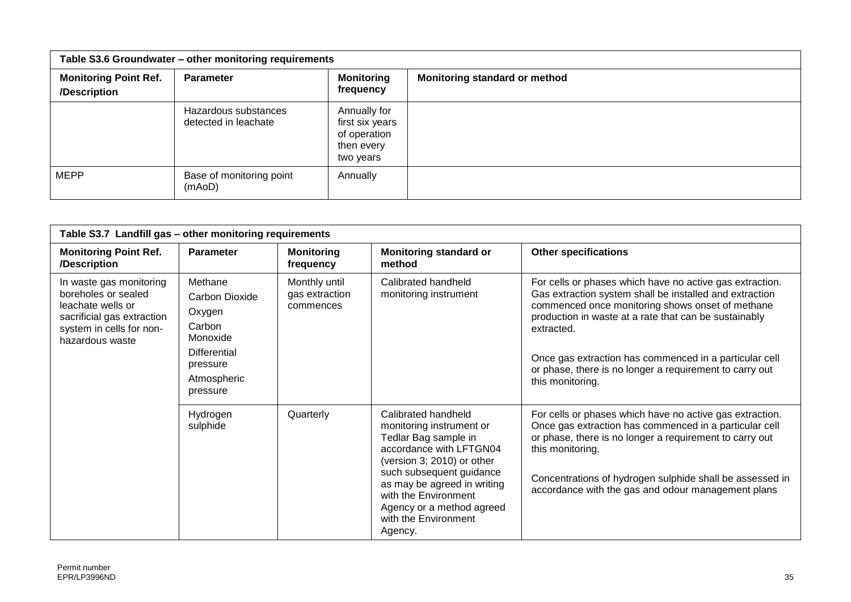| Table S3.6 Groundwater - other monitoring requirements |                                              |                                                                            |                               |  |  |
|--------------------------------------------------------|----------------------------------------------|----------------------------------------------------------------------------|-------------------------------|--|--|
| <b>Monitoring Point Ref.</b><br>/Description           | Parameter                                    | <b>Monitoring</b><br>frequency                                             | Monitoring standard or method |  |  |
|                                                        | Hazardous substances<br>detected in leachate | Annually for<br>first six years<br>of operation<br>then every<br>two years |                               |  |  |
| <b>MEPP</b>                                            | Base of monitoring point<br>(mAoD)           | Annually                                                                   |                               |  |  |

| Table S3.7 Landfill gas - other monitoring requirements                                                                                          |                                                                                                                         |                                              |                                                                                                                                                                                                                                                                                     |                                                                                                                                                                                                                                                                                                                                                                                         |  |  |  |
|--------------------------------------------------------------------------------------------------------------------------------------------------|-------------------------------------------------------------------------------------------------------------------------|----------------------------------------------|-------------------------------------------------------------------------------------------------------------------------------------------------------------------------------------------------------------------------------------------------------------------------------------|-----------------------------------------------------------------------------------------------------------------------------------------------------------------------------------------------------------------------------------------------------------------------------------------------------------------------------------------------------------------------------------------|--|--|--|
| <b>Monitoring Point Ref.</b><br>/Description                                                                                                     | <b>Parameter</b>                                                                                                        | <b>Monitoring</b><br>frequency               | <b>Monitoring standard or</b><br>method                                                                                                                                                                                                                                             | <b>Other specifications</b>                                                                                                                                                                                                                                                                                                                                                             |  |  |  |
| In waste gas monitoring<br>boreholes or sealed<br>leachate wells or<br>sacrificial gas extraction<br>system in cells for non-<br>hazardous waste | Methane<br>Carbon Dioxide<br>Oxygen<br>Carbon<br>Monoxide<br><b>Differential</b><br>pressure<br>Atmospheric<br>pressure | Monthly until<br>gas extraction<br>commences | Calibrated handheld<br>monitoring instrument                                                                                                                                                                                                                                        | For cells or phases which have no active gas extraction.<br>Gas extraction system shall be installed and extraction<br>commenced once monitoring shows onset of methane<br>production in waste at a rate that can be sustainably<br>extracted.<br>Once gas extraction has commenced in a particular cell<br>or phase, there is no longer a requirement to carry out<br>this monitoring. |  |  |  |
|                                                                                                                                                  | Hydrogen<br>sulphide                                                                                                    | Quarterly                                    | Calibrated handheld<br>monitoring instrument or<br>Tedlar Bag sample in<br>accordance with LFTGN04<br>(version 3; 2010) or other<br>such subsequent guidance<br>as may be agreed in writing<br>with the Environment<br>Agency or a method agreed<br>with the Environment<br>Agency. | For cells or phases which have no active gas extraction.<br>Once gas extraction has commenced in a particular cell<br>or phase, there is no longer a requirement to carry out<br>this monitoring.<br>Concentrations of hydrogen sulphide shall be assessed in<br>accordance with the gas and odour management plans                                                                     |  |  |  |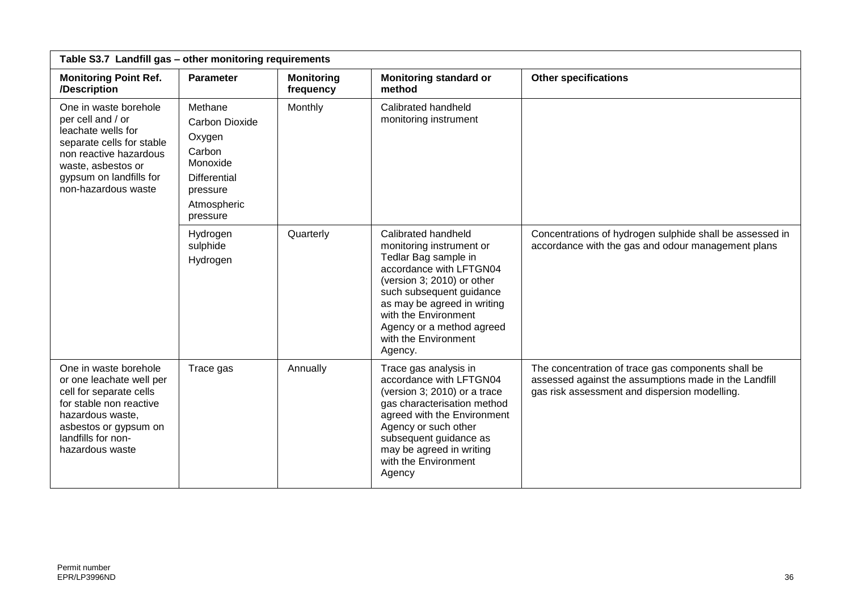| Table S3.7 Landfill gas - other monitoring requirements                                                                                                                                         |                                                                                                                                                                                           |                                |                                                                                                                                                                                                                                                                                     |                                                                                                                                                              |  |  |
|-------------------------------------------------------------------------------------------------------------------------------------------------------------------------------------------------|-------------------------------------------------------------------------------------------------------------------------------------------------------------------------------------------|--------------------------------|-------------------------------------------------------------------------------------------------------------------------------------------------------------------------------------------------------------------------------------------------------------------------------------|--------------------------------------------------------------------------------------------------------------------------------------------------------------|--|--|
| <b>Monitoring Point Ref.</b><br>/Description                                                                                                                                                    | <b>Parameter</b>                                                                                                                                                                          | <b>Monitoring</b><br>frequency | <b>Monitoring standard or</b><br>method                                                                                                                                                                                                                                             | <b>Other specifications</b>                                                                                                                                  |  |  |
| One in waste borehole<br>per cell and / or<br>leachate wells for<br>separate cells for stable<br>non reactive hazardous<br>waste, asbestos or<br>gypsum on landfills for<br>non-hazardous waste | Calibrated handheld<br>Methane<br>Monthly<br>monitoring instrument<br><b>Carbon Dioxide</b><br>Oxygen<br>Carbon<br>Monoxide<br><b>Differential</b><br>pressure<br>Atmospheric<br>pressure |                                |                                                                                                                                                                                                                                                                                     |                                                                                                                                                              |  |  |
|                                                                                                                                                                                                 | Hydrogen<br>sulphide<br>Hydrogen                                                                                                                                                          | Quarterly                      | Calibrated handheld<br>monitoring instrument or<br>Tedlar Bag sample in<br>accordance with LFTGN04<br>(version 3; 2010) or other<br>such subsequent guidance<br>as may be agreed in writing<br>with the Environment<br>Agency or a method agreed<br>with the Environment<br>Agency. | Concentrations of hydrogen sulphide shall be assessed in<br>accordance with the gas and odour management plans                                               |  |  |
| One in waste borehole<br>or one leachate well per<br>cell for separate cells<br>for stable non reactive<br>hazardous waste,<br>asbestos or gypsum on<br>landfills for non-<br>hazardous waste   | Trace gas                                                                                                                                                                                 | Annually                       | Trace gas analysis in<br>accordance with LFTGN04<br>(version 3; 2010) or a trace<br>gas characterisation method<br>agreed with the Environment<br>Agency or such other<br>subsequent guidance as<br>may be agreed in writing<br>with the Environment<br>Agency                      | The concentration of trace gas components shall be<br>assessed against the assumptions made in the Landfill<br>gas risk assessment and dispersion modelling. |  |  |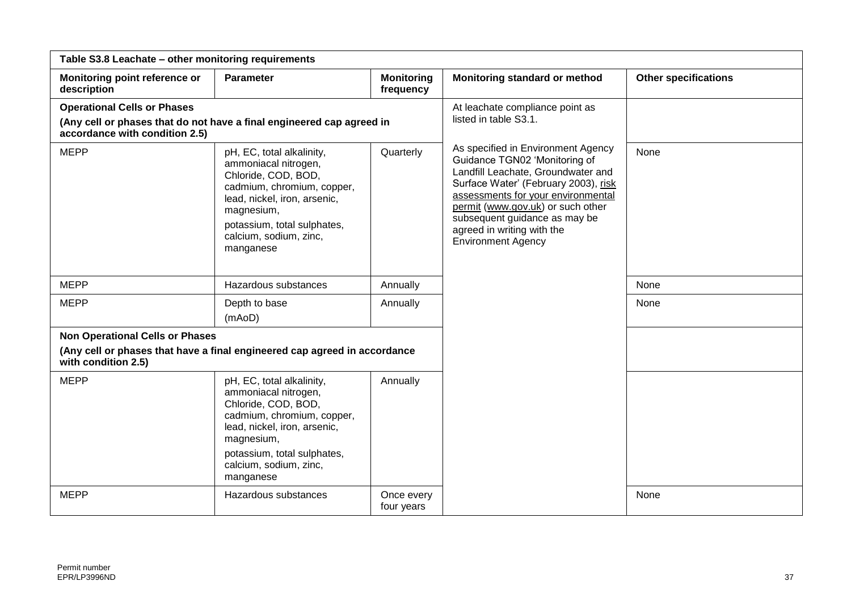| Table S3.8 Leachate - other monitoring requirements |                                                                                                                                                                                                                            |                                |                                                                                                                                                                                                                                                                                                                          |                             |  |  |  |
|-----------------------------------------------------|----------------------------------------------------------------------------------------------------------------------------------------------------------------------------------------------------------------------------|--------------------------------|--------------------------------------------------------------------------------------------------------------------------------------------------------------------------------------------------------------------------------------------------------------------------------------------------------------------------|-----------------------------|--|--|--|
| Monitoring point reference or<br>description        | <b>Parameter</b>                                                                                                                                                                                                           | <b>Monitoring</b><br>frequency | Monitoring standard or method                                                                                                                                                                                                                                                                                            | <b>Other specifications</b> |  |  |  |
| <b>Operational Cells or Phases</b>                  |                                                                                                                                                                                                                            |                                | At leachate compliance point as                                                                                                                                                                                                                                                                                          |                             |  |  |  |
| accordance with condition 2.5)                      | (Any cell or phases that do not have a final engineered cap agreed in                                                                                                                                                      |                                | listed in table S3.1.                                                                                                                                                                                                                                                                                                    |                             |  |  |  |
| <b>MEPP</b>                                         | pH, EC, total alkalinity,<br>ammoniacal nitrogen,<br>Chloride, COD, BOD,<br>cadmium, chromium, copper,<br>lead, nickel, iron, arsenic,<br>magnesium,<br>potassium, total sulphates,<br>calcium, sodium, zinc,<br>manganese | Quarterly                      | As specified in Environment Agency<br>Guidance TGN02 'Monitoring of<br>Landfill Leachate, Groundwater and<br>Surface Water' (February 2003), risk<br>assessments for your environmental<br>permit (www.gov.uk) or such other<br>subsequent guidance as may be<br>agreed in writing with the<br><b>Environment Agency</b> | None                        |  |  |  |
| <b>MEPP</b>                                         | Hazardous substances                                                                                                                                                                                                       | Annually                       |                                                                                                                                                                                                                                                                                                                          | None                        |  |  |  |
| <b>MEPP</b>                                         | Depth to base<br>(mAoD)                                                                                                                                                                                                    | Annually                       |                                                                                                                                                                                                                                                                                                                          | None                        |  |  |  |
| <b>Non Operational Cells or Phases</b>              |                                                                                                                                                                                                                            |                                |                                                                                                                                                                                                                                                                                                                          |                             |  |  |  |
| with condition 2.5)                                 | (Any cell or phases that have a final engineered cap agreed in accordance                                                                                                                                                  |                                |                                                                                                                                                                                                                                                                                                                          |                             |  |  |  |
| <b>MEPP</b>                                         | pH, EC, total alkalinity,<br>ammoniacal nitrogen,<br>Chloride, COD, BOD,<br>cadmium, chromium, copper,<br>lead, nickel, iron, arsenic,<br>magnesium,<br>potassium, total sulphates,<br>calcium, sodium, zinc,<br>manganese | Annually                       |                                                                                                                                                                                                                                                                                                                          |                             |  |  |  |
| <b>MEPP</b>                                         | Hazardous substances                                                                                                                                                                                                       | Once every<br>four years       |                                                                                                                                                                                                                                                                                                                          | None                        |  |  |  |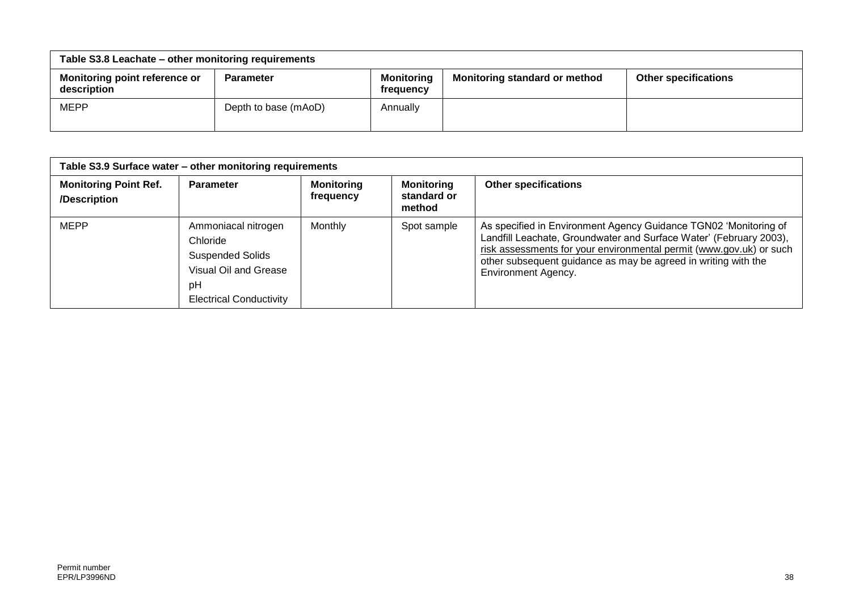| Table S3.8 Leachate - other monitoring requirements |                      |                                |                               |                             |
|-----------------------------------------------------|----------------------|--------------------------------|-------------------------------|-----------------------------|
| <b>Monitoring point reference or</b><br>description | <b>Parameter</b>     | <b>Monitoring</b><br>frequency | Monitoring standard or method | <b>Other specifications</b> |
| <b>MEPP</b>                                         | Depth to base (mAoD) | Annually                       |                               |                             |

| Table S3.9 Surface water - other monitoring requirements |                                                                                                                             |                                |                                            |                                                                                                                                                                                                                                                                                                        |
|----------------------------------------------------------|-----------------------------------------------------------------------------------------------------------------------------|--------------------------------|--------------------------------------------|--------------------------------------------------------------------------------------------------------------------------------------------------------------------------------------------------------------------------------------------------------------------------------------------------------|
| <b>Monitoring Point Ref.</b><br>/Description             | <b>Parameter</b>                                                                                                            | <b>Monitoring</b><br>frequency | <b>Monitoring</b><br>standard or<br>method | <b>Other specifications</b>                                                                                                                                                                                                                                                                            |
| <b>MEPP</b>                                              | Ammoniacal nitrogen<br>Chloride<br><b>Suspended Solids</b><br>Visual Oil and Grease<br>pH<br><b>Electrical Conductivity</b> | Monthly                        | Spot sample                                | As specified in Environment Agency Guidance TGN02 'Monitoring of<br>Landfill Leachate, Groundwater and Surface Water' (February 2003),<br>risk assessments for your environmental permit (www.gov.uk) or such<br>other subsequent guidance as may be agreed in writing with the<br>Environment Agency. |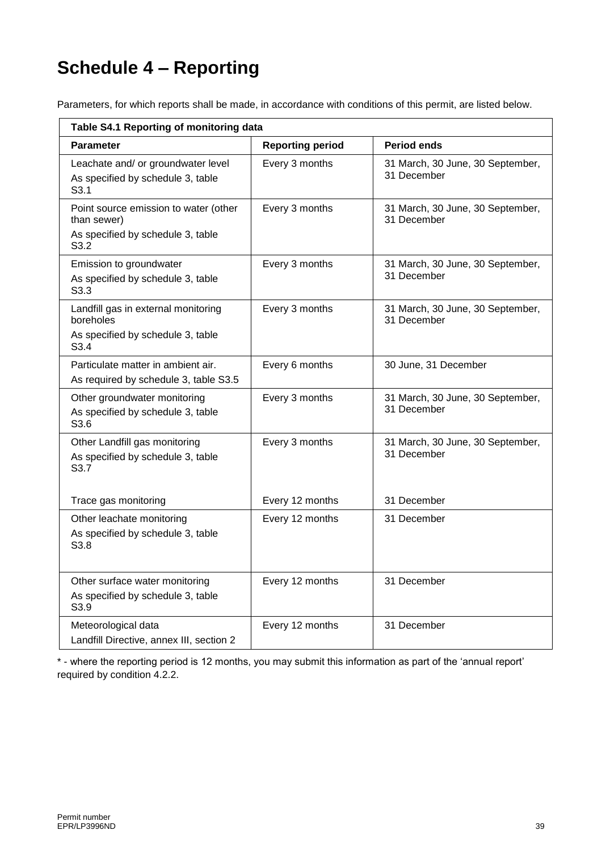# **Schedule 4 – Reporting**

Parameters, for which reports shall be made, in accordance with conditions of this permit, are listed below.

| Table S4.1 Reporting of monitoring data                                                                       |                         |                                                 |  |
|---------------------------------------------------------------------------------------------------------------|-------------------------|-------------------------------------------------|--|
| <b>Parameter</b>                                                                                              | <b>Reporting period</b> | <b>Period ends</b>                              |  |
| Leachate and/ or groundwater level<br>As specified by schedule 3, table<br>S3.1                               | Every 3 months          | 31 March, 30 June, 30 September,<br>31 December |  |
| Point source emission to water (other<br>than sewer)<br>As specified by schedule 3, table<br>S <sub>3.2</sub> | Every 3 months          | 31 March, 30 June, 30 September,<br>31 December |  |
| Emission to groundwater<br>As specified by schedule 3, table<br>S3.3                                          | Every 3 months          | 31 March, 30 June, 30 September,<br>31 December |  |
| Landfill gas in external monitoring<br>boreholes<br>As specified by schedule 3, table<br>S3.4                 | Every 3 months          | 31 March, 30 June, 30 September,<br>31 December |  |
| Particulate matter in ambient air.<br>As required by schedule 3, table S3.5                                   | Every 6 months          | 30 June, 31 December                            |  |
| Other groundwater monitoring<br>As specified by schedule 3, table<br>S <sub>3.6</sub>                         | Every 3 months          | 31 March, 30 June, 30 September,<br>31 December |  |
| Other Landfill gas monitoring<br>As specified by schedule 3, table<br>S3.7                                    | Every 3 months          | 31 March, 30 June, 30 September,<br>31 December |  |
| Trace gas monitoring                                                                                          | Every 12 months         | 31 December                                     |  |
| Other leachate monitoring<br>As specified by schedule 3, table<br>S <sub>3.8</sub>                            | Every 12 months         | 31 December                                     |  |
| Other surface water monitoring<br>As specified by schedule 3, table<br>S3.9                                   | Every 12 months         | 31 December                                     |  |
| Meteorological data<br>Landfill Directive, annex III, section 2                                               | Every 12 months         | 31 December                                     |  |

\* - where the reporting period is 12 months, you may submit this information as part of the 'annual report' required by condition 4.2.2.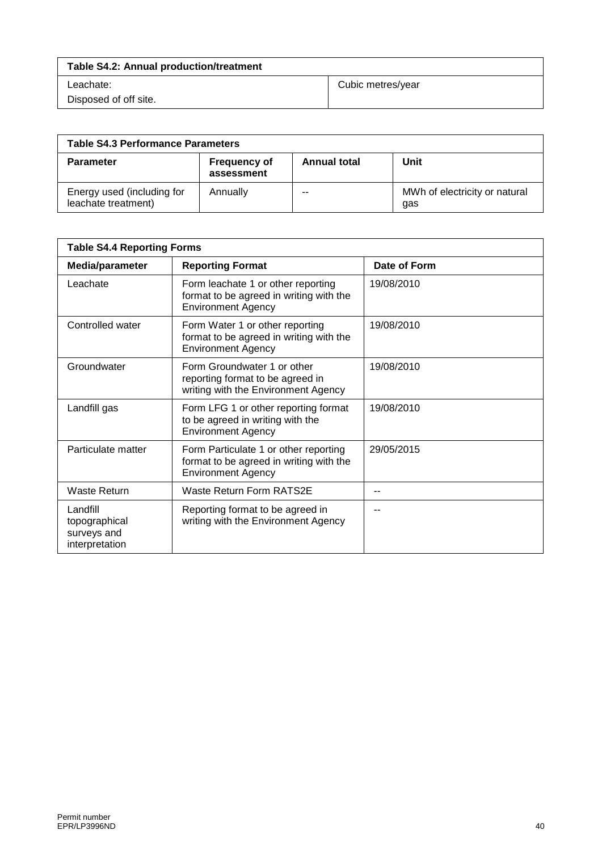| <b>Table S4.2: Annual production/treatment</b> |                   |  |
|------------------------------------------------|-------------------|--|
| Leachate:                                      | Cubic metres/year |  |
| Disposed of off site.                          |                   |  |

| <b>Table S4.3 Performance Parameters</b>          |                                   |                     |                                      |
|---------------------------------------------------|-----------------------------------|---------------------|--------------------------------------|
| <b>Parameter</b>                                  | <b>Frequency of</b><br>assessment | <b>Annual total</b> | Unit                                 |
| Energy used (including for<br>leachate treatment) | Annually                          | --                  | MWh of electricity or natural<br>gas |

| <b>Table S4.4 Reporting Forms</b>                          |                                                                                                               |              |
|------------------------------------------------------------|---------------------------------------------------------------------------------------------------------------|--------------|
| Media/parameter                                            | <b>Reporting Format</b>                                                                                       | Date of Form |
| Leachate                                                   | Form leachate 1 or other reporting<br>format to be agreed in writing with the<br><b>Environment Agency</b>    | 19/08/2010   |
| Controlled water                                           | Form Water 1 or other reporting<br>format to be agreed in writing with the<br><b>Environment Agency</b>       | 19/08/2010   |
| Groundwater                                                | Form Groundwater 1 or other<br>reporting format to be agreed in<br>writing with the Environment Agency        | 19/08/2010   |
| Landfill gas                                               | Form LFG 1 or other reporting format<br>to be agreed in writing with the<br><b>Environment Agency</b>         | 19/08/2010   |
| Particulate matter                                         | Form Particulate 1 or other reporting<br>format to be agreed in writing with the<br><b>Environment Agency</b> | 29/05/2015   |
| Waste Return                                               | Waste Return Form RATS2E                                                                                      | --           |
| Landfill<br>topographical<br>surveys and<br>interpretation | Reporting format to be agreed in<br>writing with the Environment Agency                                       | --           |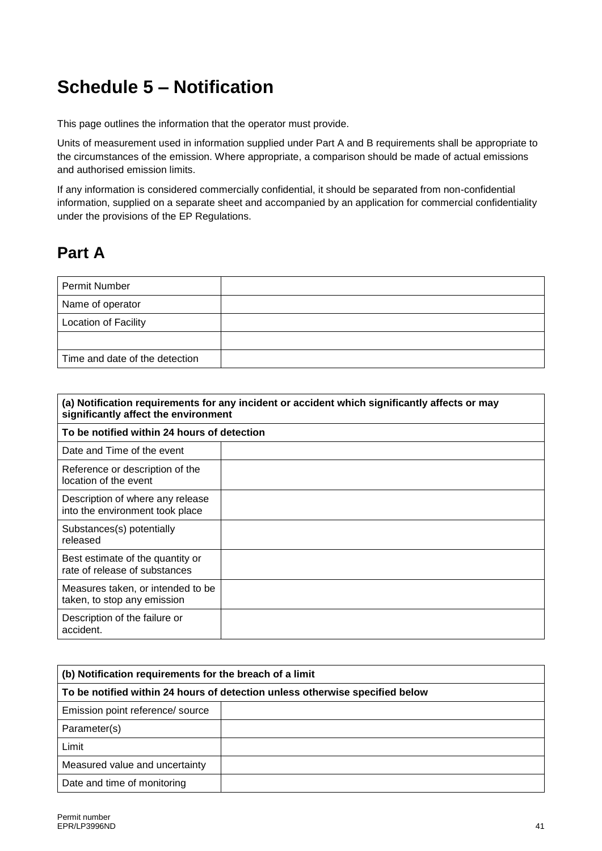# **Schedule 5 – Notification**

This page outlines the information that the operator must provide.

Units of measurement used in information supplied under Part A and B requirements shall be appropriate to the circumstances of the emission. Where appropriate, a comparison should be made of actual emissions and authorised emission limits.

If any information is considered commercially confidential, it should be separated from non-confidential information, supplied on a separate sheet and accompanied by an application for commercial confidentiality under the provisions of the EP Regulations.

## **Part A**

| Permit Number                  |  |
|--------------------------------|--|
| Name of operator               |  |
| <b>Location of Facility</b>    |  |
|                                |  |
| Time and date of the detection |  |

| (a) Notification requirements for any incident or accident which significantly affects or may<br>significantly affect the environment |  |  |
|---------------------------------------------------------------------------------------------------------------------------------------|--|--|
| To be notified within 24 hours of detection                                                                                           |  |  |
| Date and Time of the event                                                                                                            |  |  |
| Reference or description of the<br>location of the event                                                                              |  |  |
| Description of where any release<br>into the environment took place                                                                   |  |  |
| Substances(s) potentially<br>released                                                                                                 |  |  |
| Best estimate of the quantity or<br>rate of release of substances                                                                     |  |  |
| Measures taken, or intended to be<br>taken, to stop any emission                                                                      |  |  |
| Description of the failure or<br>accident.                                                                                            |  |  |

| (b) Notification requirements for the breach of a limit                      |  |  |
|------------------------------------------------------------------------------|--|--|
| To be notified within 24 hours of detection unless otherwise specified below |  |  |
| Emission point reference/ source                                             |  |  |
| Parameter(s)                                                                 |  |  |
| Limit                                                                        |  |  |
| Measured value and uncertainty                                               |  |  |
| Date and time of monitoring                                                  |  |  |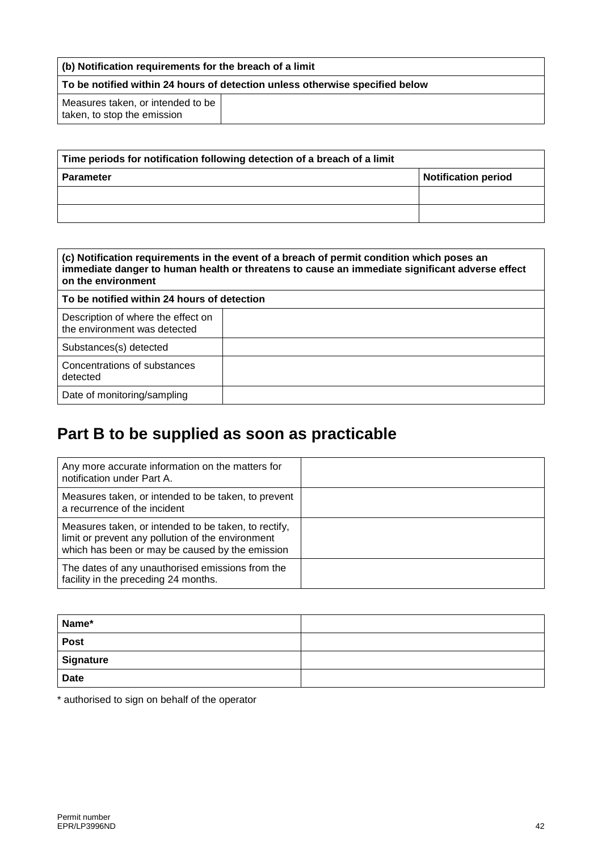| (b) Notification requirements for the breach of a limit                      |  |  |
|------------------------------------------------------------------------------|--|--|
| To be notified within 24 hours of detection unless otherwise specified below |  |  |
| Measures taken, or intended to be<br>taken, to stop the emission             |  |  |

| Time periods for notification following detection of a breach of a limit |                            |  |
|--------------------------------------------------------------------------|----------------------------|--|
| <b>Parameter</b>                                                         | <b>Notification period</b> |  |
|                                                                          |                            |  |
|                                                                          |                            |  |

| (c) Notification requirements in the event of a breach of permit condition which poses an<br>immediate danger to human health or threatens to cause an immediate significant adverse effect<br>on the environment |  |  |
|-------------------------------------------------------------------------------------------------------------------------------------------------------------------------------------------------------------------|--|--|
| To be notified within 24 hours of detection                                                                                                                                                                       |  |  |
| Description of where the effect on<br>the environment was detected                                                                                                                                                |  |  |
| Substances(s) detected                                                                                                                                                                                            |  |  |
| Concentrations of substances<br>detected                                                                                                                                                                          |  |  |
| Date of monitoring/sampling                                                                                                                                                                                       |  |  |

# **Part B to be supplied as soon as practicable**

| Any more accurate information on the matters for<br>notification under Part A.                                                                               |  |
|--------------------------------------------------------------------------------------------------------------------------------------------------------------|--|
| Measures taken, or intended to be taken, to prevent<br>a recurrence of the incident                                                                          |  |
| Measures taken, or intended to be taken, to rectify,<br>limit or prevent any pollution of the environment<br>which has been or may be caused by the emission |  |
| The dates of any unauthorised emissions from the<br>facility in the preceding 24 months.                                                                     |  |

| Name*       |  |
|-------------|--|
| <b>Post</b> |  |
| Signature   |  |
| <b>Date</b> |  |

\* authorised to sign on behalf of the operator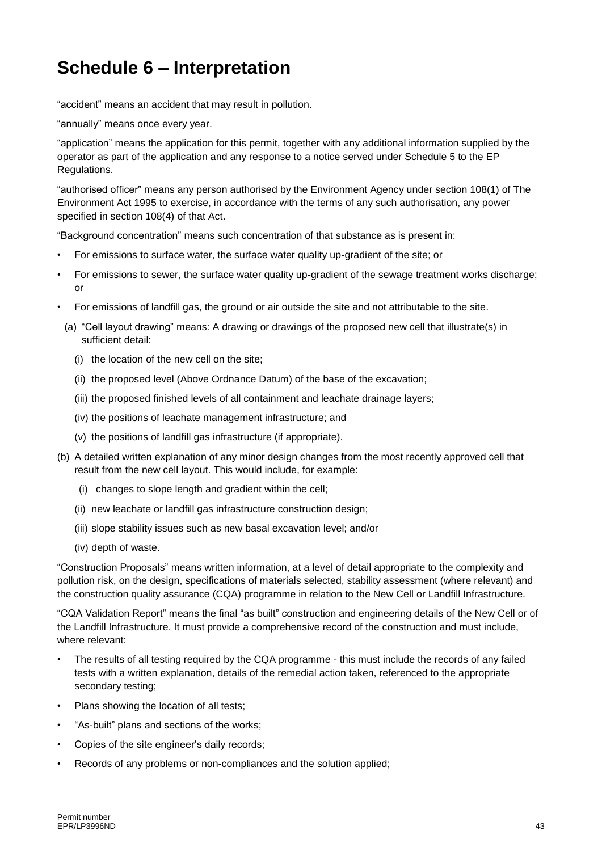# **Schedule 6 – Interpretation**

"accident" means an accident that may result in pollution.

"annually" means once every year.

"application" means the application for this permit, together with any additional information supplied by the operator as part of the application and any response to a notice served under Schedule 5 to the EP Regulations.

"authorised officer" means any person authorised by the Environment Agency under section 108(1) of The Environment Act 1995 to exercise, in accordance with the terms of any such authorisation, any power specified in section 108(4) of that Act.

"Background concentration" means such concentration of that substance as is present in:

- For emissions to surface water, the surface water quality up-gradient of the site; or
- For emissions to sewer, the surface water quality up-gradient of the sewage treatment works discharge; or
- For emissions of landfill gas, the ground or air outside the site and not attributable to the site.
	- (a) "Cell layout drawing" means: A drawing or drawings of the proposed new cell that illustrate(s) in sufficient detail:
		- (i) the location of the new cell on the site;
		- (ii) the proposed level (Above Ordnance Datum) of the base of the excavation;
		- (iii) the proposed finished levels of all containment and leachate drainage layers;
		- (iv) the positions of leachate management infrastructure; and
		- (v) the positions of landfill gas infrastructure (if appropriate).
- (b) A detailed written explanation of any minor design changes from the most recently approved cell that result from the new cell layout. This would include, for example:
	- (i) changes to slope length and gradient within the cell;
	- (ii) new leachate or landfill gas infrastructure construction design;
	- (iii) slope stability issues such as new basal excavation level; and/or
	- (iv) depth of waste.

"Construction Proposals" means written information, at a level of detail appropriate to the complexity and pollution risk, on the design, specifications of materials selected, stability assessment (where relevant) and the construction quality assurance (CQA) programme in relation to the New Cell or Landfill Infrastructure.

"CQA Validation Report" means the final "as built" construction and engineering details of the New Cell or of the Landfill Infrastructure. It must provide a comprehensive record of the construction and must include, where relevant:

- The results of all testing required by the CQA programme this must include the records of any failed tests with a written explanation, details of the remedial action taken, referenced to the appropriate secondary testing;
- Plans showing the location of all tests;
- "As-built" plans and sections of the works;
- Copies of the site engineer's daily records;
- Records of any problems or non-compliances and the solution applied;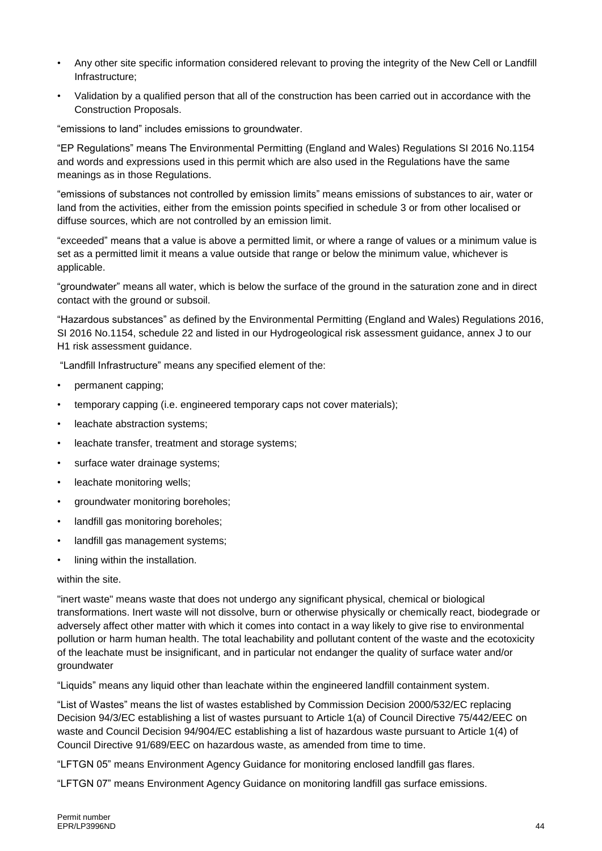- Any other site specific information considered relevant to proving the integrity of the New Cell or Landfill Infrastructure;
- Validation by a qualified person that all of the construction has been carried out in accordance with the Construction Proposals.

"emissions to land" includes emissions to groundwater.

"EP Regulations" means The Environmental Permitting (England and Wales) Regulations SI 2016 No.1154 and words and expressions used in this permit which are also used in the Regulations have the same meanings as in those Regulations.

"emissions of substances not controlled by emission limits" means emissions of substances to air, water or land from the activities, either from the emission points specified in schedule 3 or from other localised or diffuse sources, which are not controlled by an emission limit.

"exceeded" means that a value is above a permitted limit, or where a range of values or a minimum value is set as a permitted limit it means a value outside that range or below the minimum value, whichever is applicable.

"groundwater" means all water, which is below the surface of the ground in the saturation zone and in direct contact with the ground or subsoil.

"Hazardous substances" as defined by the Environmental Permitting (England and Wales) Regulations 2016, SI 2016 No.1154, schedule 22 and listed in our Hydrogeological risk assessment guidance, annex J to our H1 risk assessment guidance.

"Landfill Infrastructure" means any specified element of the:

- permanent capping;
- temporary capping (i.e. engineered temporary caps not cover materials);
- leachate abstraction systems;
- leachate transfer, treatment and storage systems;
- surface water drainage systems;
- leachate monitoring wells;
- groundwater monitoring boreholes;
- landfill gas monitoring boreholes;
- landfill gas management systems;
- lining within the installation.

#### within the site.

"inert waste" means waste that does not undergo any significant physical, chemical or biological transformations. Inert waste will not dissolve, burn or otherwise physically or chemically react, biodegrade or adversely affect other matter with which it comes into contact in a way likely to give rise to environmental pollution or harm human health. The total leachability and pollutant content of the waste and the ecotoxicity of the leachate must be insignificant, and in particular not endanger the quality of surface water and/or groundwater

"Liquids" means any liquid other than leachate within the engineered landfill containment system.

"List of Wastes" means the list of wastes established by Commission Decision [2000/532/EC](http://www.legislation.gov.uk/european/decision/2000/0532) replacing Decision [94/3/EC](http://www.legislation.gov.uk/european/decision/1994/0003) establishing a list of wastes pursuant to Article 1(a) of Council Directive [75/442/EEC](http://www.legislation.gov.uk/european/directive/1975/0442) on waste and Council Decision [94/904/EC](http://www.legislation.gov.uk/european/decision/1994/0904) establishing a list of hazardous waste pursuant to Article 1(4) of Council Directive [91/689/EEC](http://www.legislation.gov.uk/european/decision/1991/0689) on hazardous waste, as amended from time to time.

"LFTGN 05" means Environment Agency Guidance for monitoring enclosed landfill gas flares.

"LFTGN 07" means Environment Agency Guidance on monitoring landfill gas surface emissions.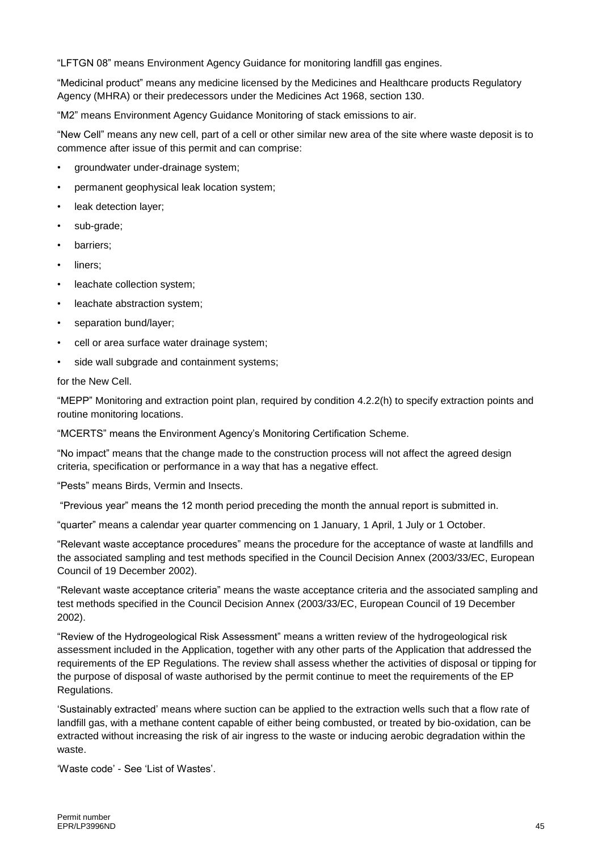"LFTGN 08" means Environment Agency Guidance for monitoring landfill gas engines.

"Medicinal product" means any medicine licensed by the Medicines and Healthcare products Regulatory Agency (MHRA) or their predecessors under the Medicines Act 1968, section 130.

"M2" means Environment Agency Guidance Monitoring of stack emissions to air.

"New Cell" means any new cell, part of a cell or other similar new area of the site where waste deposit is to commence after issue of this permit and can comprise:

- groundwater under-drainage system;
- permanent geophysical leak location system;
- leak detection layer;
- sub-grade;
- barriers;
- liners:
- leachate collection system;
- leachate abstraction system;
- separation bund/layer;
- cell or area surface water drainage system;
- side wall subgrade and containment systems;

for the New Cell.

"MEPP" Monitoring and extraction point plan, required by condition 4.2.2(h) to specify extraction points and routine monitoring locations.

"MCERTS" means the Environment Agency's Monitoring Certification Scheme.

"No impact" means that the change made to the construction process will not affect the agreed design criteria, specification or performance in a way that has a negative effect.

"Pests" means Birds, Vermin and Insects.

"Previous year" means the 12 month period preceding the month the annual report is submitted in.

"quarter" means a calendar year quarter commencing on 1 January, 1 April, 1 July or 1 October.

"Relevant waste acceptance procedures" means the procedure for the acceptance of waste at landfills and the associated sampling and test methods specified in the Council Decision Annex (2003/33/EC, European Council of 19 December 2002).

"Relevant waste acceptance criteria" means the waste acceptance criteria and the associated sampling and test methods specified in the Council Decision Annex (2003/33/EC, European Council of 19 December 2002).

"Review of the Hydrogeological Risk Assessment" means a written review of the hydrogeological risk assessment included in the Application, together with any other parts of the Application that addressed the requirements of the EP Regulations. The review shall assess whether the activities of disposal or tipping for the purpose of disposal of waste authorised by the permit continue to meet the requirements of the EP Regulations.

'Sustainably extracted' means where suction can be applied to the extraction wells such that a flow rate of landfill gas, with a methane content capable of either being combusted, or treated by bio-oxidation, can be extracted without increasing the risk of air ingress to the waste or inducing aerobic degradation within the waste.

'Waste code' - See 'List of Wastes'.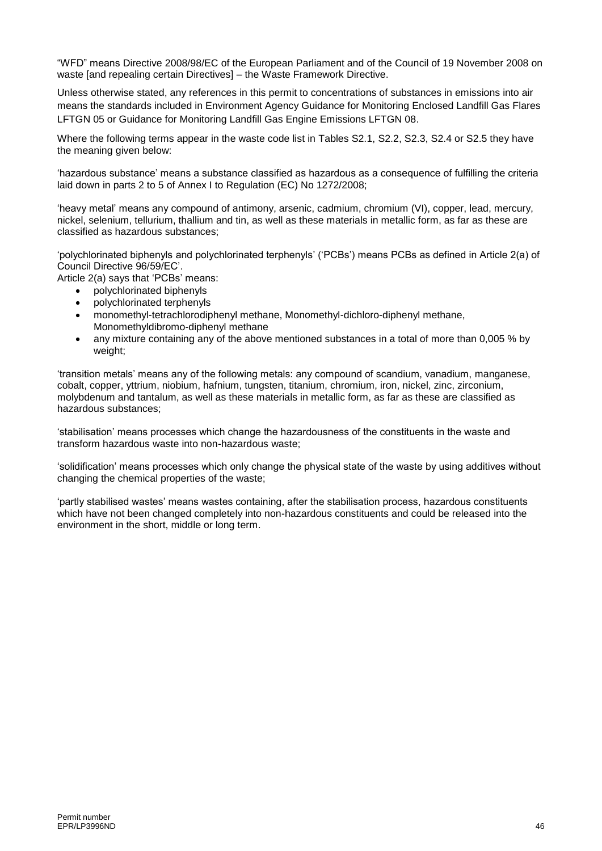"WFD" means Directive 2008/98/EC of the European Parliament and of the Council of 19 November 2008 on waste [and repealing certain Directives] – the Waste Framework Directive.

Unless otherwise stated, any references in this permit to concentrations of substances in emissions into air means the standards included in Environment Agency Guidance for Monitoring Enclosed Landfill Gas Flares LFTGN 05 or Guidance for Monitoring Landfill Gas Engine Emissions LFTGN 08.

Where the following terms appear in the waste code list in Tables S2.1, S2.2, S2.3, S2.4 or S2.5 they have the meaning given below:

'hazardous substance' means a substance classified as hazardous as a consequence of fulfilling the criteria laid down in parts 2 to 5 of Annex I to Regulation (EC) No 1272/2008;

'heavy metal' means any compound of antimony, arsenic, cadmium, chromium (VI), copper, lead, mercury, nickel, selenium, tellurium, thallium and tin, as well as these materials in metallic form, as far as these are classified as hazardous substances;

'polychlorinated biphenyls and polychlorinated terphenyls' ('PCBs') means PCBs as defined in Article 2(a) of Council Directive 96/59/EC'.

Article 2(a) says that 'PCBs' means:

- polychlorinated biphenyls
- polychlorinated terphenyls
- monomethyl-tetrachlorodiphenyl methane, Monomethyl-dichloro-diphenyl methane, Monomethyldibromo-diphenyl methane
- any mixture containing any of the above mentioned substances in a total of more than 0,005 % by weight:

'transition metals' means any of the following metals: any compound of scandium, vanadium, manganese, cobalt, copper, yttrium, niobium, hafnium, tungsten, titanium, chromium, iron, nickel, zinc, zirconium, molybdenum and tantalum, as well as these materials in metallic form, as far as these are classified as hazardous substances;

'stabilisation' means processes which change the hazardousness of the constituents in the waste and transform hazardous waste into non-hazardous waste;

'solidification' means processes which only change the physical state of the waste by using additives without changing the chemical properties of the waste;

'partly stabilised wastes' means wastes containing, after the stabilisation process, hazardous constituents which have not been changed completely into non-hazardous constituents and could be released into the environment in the short, middle or long term.